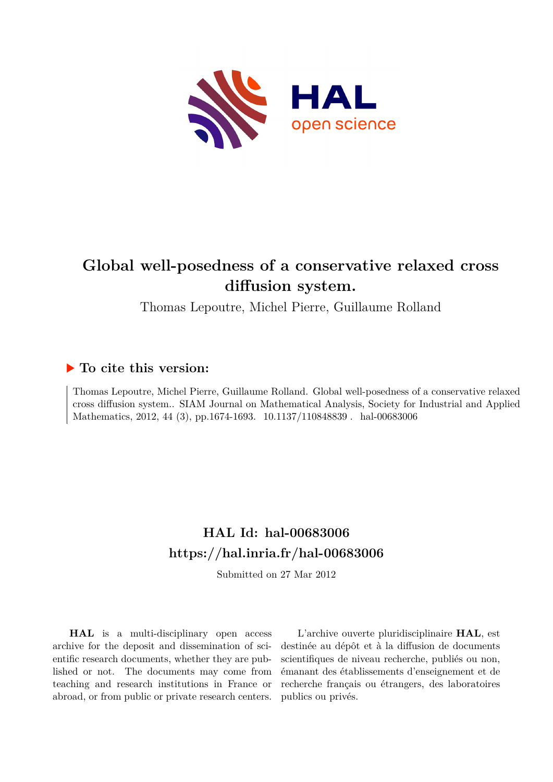

# **Global well-posedness of a conservative relaxed cross diffusion system.**

Thomas Lepoutre, Michel Pierre, Guillaume Rolland

## **To cite this version:**

Thomas Lepoutre, Michel Pierre, Guillaume Rolland. Global well-posedness of a conservative relaxed cross diffusion system.. SIAM Journal on Mathematical Analysis, Society for Industrial and Applied Mathematics, 2012, 44 (3), pp.1674-1693. 10.1137/110848839 . hal-00683006

# **HAL Id: hal-00683006 <https://hal.inria.fr/hal-00683006>**

Submitted on 27 Mar 2012

**HAL** is a multi-disciplinary open access archive for the deposit and dissemination of scientific research documents, whether they are published or not. The documents may come from teaching and research institutions in France or abroad, or from public or private research centers.

L'archive ouverte pluridisciplinaire **HAL**, est destinée au dépôt et à la diffusion de documents scientifiques de niveau recherche, publiés ou non, émanant des établissements d'enseignement et de recherche français ou étrangers, des laboratoires publics ou privés.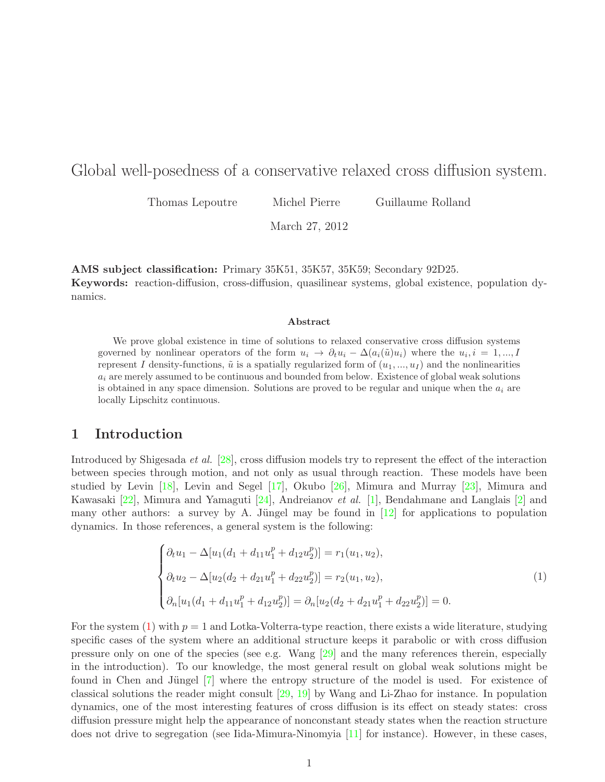### Global well-posedness of a conservative relaxed cross diffusion system.

Thomas Lepoutre Michel Pierre Guillaume Rolland

March 27, 2012

AMS subject classification: Primary 35K51, 35K57, 35K59; Secondary 92D25. Keywords: reaction-diffusion, cross-diffusion, quasilinear systems, global existence, population dynamics.

#### Abstract

We prove global existence in time of solutions to relaxed conservative cross diffusion systems governed by nonlinear operators of the form  $u_i \to \partial_t u_i - \Delta(a_i(\tilde{u})u_i)$  where the  $u_i, i = 1, ..., I$ represent I density-functions,  $\tilde{u}$  is a spatially regularized form of  $(u_1, ..., u_l)$  and the nonlinearities  $a_i$  are merely assumed to be continuous and bounded from below. Existence of global weak solutions is obtained in any space dimension. Solutions are proved to be regular and unique when the  $a_i$  are locally Lipschitz continuous.

### 1 Introduction

Introduced by Shigesada et al. [\[28\]](#page-21-0), cross diffusion models try to represent the effect of the interaction between species through motion, and not only as usual through reaction. These models have been studied by Levin [\[18\]](#page-21-1), Levin and Segel [\[17\]](#page-20-0), Okubo [\[26\]](#page-21-2), Mimura and Murray [\[23\]](#page-21-3), Mimura and Kawasaki [\[22\]](#page-21-4), Mimura and Yamaguti [\[24\]](#page-21-5), Andreianov et al. [\[1\]](#page-19-0), Bendahmane and Langlais [\[2\]](#page-20-1) and many other authors: a survey by A. Jüngel may be found in  $[12]$  for applications to population dynamics. In those references, a general system is the following:

<span id="page-1-0"></span>
$$
\begin{cases}\n\partial_t u_1 - \Delta[u_1(d_1 + d_{11}u_1^p + d_{12}u_2^p)] = r_1(u_1, u_2), \\
\partial_t u_2 - \Delta[u_2(d_2 + d_{21}u_1^p + d_{22}u_2^p)] = r_2(u_1, u_2), \\
\partial_n[u_1(d_1 + d_{11}u_1^p + d_{12}u_2^p)] = \partial_n[u_2(d_2 + d_{21}u_1^p + d_{22}u_2^p)] = 0.\n\end{cases}
$$
\n(1)

For the system  $(1)$  with  $p = 1$  and Lotka-Volterra-type reaction, there exists a wide literature, studying specific cases of the system where an additional structure keeps it parabolic or with cross diffusion pressure only on one of the species (see e.g. Wang [\[29\]](#page-21-6) and the many references therein, especially in the introduction). To our knowledge, the most general result on global weak solutions might be found in Chen and Jüngel [\[7\]](#page-20-3) where the entropy structure of the model is used. For existence of classical solutions the reader might consult [\[29,](#page-21-6) [19\]](#page-21-7) by Wang and Li-Zhao for instance. In population dynamics, one of the most interesting features of cross diffusion is its effect on steady states: cross diffusion pressure might help the appearance of nonconstant steady states when the reaction structure does not drive to segregation (see Iida-Mimura-Ninomyia [\[11\]](#page-20-4) for instance). However, in these cases,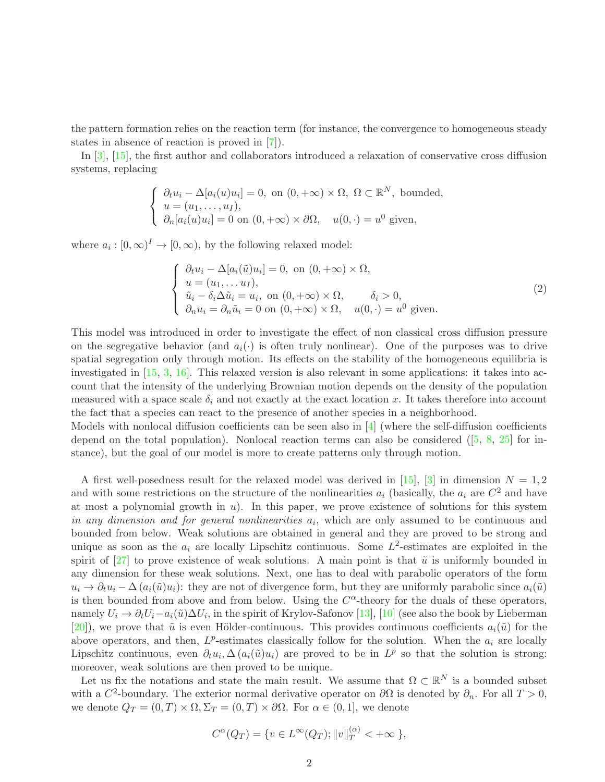the pattern formation relies on the reaction term (for instance, the convergence to homogeneous steady states in absence of reaction is proved in [\[7\]](#page-20-3)).

In [\[3\]](#page-20-5), [\[15\]](#page-20-6), the first author and collaborators introduced a relaxation of conservative cross diffusion systems, replacing

$$
\begin{cases} \n\partial_t u_i - \Delta[a_i(u)u_i] = 0, \text{ on } (0, +\infty) \times \Omega, \Omega \subset \mathbb{R}^N, \text{ bounded,} \\ \nu = (u_1, \dots, u_I), \\ \n\partial_n[a_i(u)u_i] = 0 \text{ on } (0, +\infty) \times \partial\Omega, \quad u(0, \cdot) = u^0 \text{ given,} \n\end{cases}
$$

where  $a_i : [0, \infty)^I \to [0, \infty)$ , by the following relaxed model:

$$
\begin{cases}\n\partial_t u_i - \Delta[a_i(\tilde{u})u_i] = 0, \text{ on } (0, +\infty) \times \Omega, \\
u = (u_1, \dots, u_I), \\
\tilde{u}_i - \delta_i \Delta \tilde{u}_i = u_i, \text{ on } (0, +\infty) \times \Omega, \\
\partial_n u_i = \partial_n \tilde{u}_i = 0 \text{ on } (0, +\infty) \times \Omega, \quad u(0, \cdot) = u^0 \text{ given.} \n\end{cases}
$$
\n(2)

This model was introduced in order to investigate the effect of non classical cross diffusion pressure on the segregative behavior (and  $a_i(\cdot)$  is often truly nonlinear). One of the purposes was to drive spatial segregation only through motion. Its effects on the stability of the homogeneous equilibria is investigated in [\[15,](#page-20-6) [3,](#page-20-5) [16\]](#page-20-7). This relaxed version is also relevant in some applications: it takes into account that the intensity of the underlying Brownian motion depends on the density of the population measured with a space scale  $\delta_i$  and not exactly at the exact location x. It takes therefore into account the fact that a species can react to the presence of another species in a neighborhood.

Models with nonlocal diffusion coefficients can be seen also in [\[4\]](#page-20-8) (where the self-diffusion coefficients depend on the total population). Nonlocal reaction terms can also be considered  $([5, 8, 25]$  $([5, 8, 25]$  $([5, 8, 25]$  $([5, 8, 25]$  $([5, 8, 25]$  $([5, 8, 25]$  for instance), but the goal of our model is more to create patterns only through motion.

A first well-posedness result for the relaxed model was derived in [\[15\]](#page-20-6), [\[3\]](#page-20-5) in dimension  $N = 1, 2$ and with some restrictions on the structure of the nonlinearities  $a_i$  (basically, the  $a_i$  are  $C^2$  and have at most a polynomial growth in  $u$ ). In this paper, we prove existence of solutions for this system in any dimension and for general nonlinearities  $a_i$ , which are only assumed to be continuous and bounded from below. Weak solutions are obtained in general and they are proved to be strong and unique as soon as the  $a_i$  are locally Lipschitz continuous. Some  $L^2$ -estimates are exploited in the spirit of [\[27\]](#page-21-9) to prove existence of weak solutions. A main point is that  $\tilde{u}$  is uniformly bounded in any dimension for these weak solutions. Next, one has to deal with parabolic operators of the form  $u_i \to \partial_t u_i - \Delta (a_i(\tilde{u})u_i)$ : they are not of divergence form, but they are uniformly parabolic since  $a_i(\tilde{u})$ is then bounded from above and from below. Using the  $C^{\alpha}$ -theory for the duals of these operators, namely  $U_i \to \partial_t U_i - a_i(\tilde{u}) \Delta U_i$ , in the spirit of Krylov-Safonov [\[13\]](#page-20-11), [\[10\]](#page-20-12) (see also the book by Lieberman [\[20\]](#page-21-10)), we prove that  $\tilde{u}$  is even Hölder-continuous. This provides continuous coefficients  $a_i(\tilde{u})$  for the above operators, and then,  $L^p$ -estimates classically follow for the solution. When the  $a_i$  are locally Lipschitz continuous, even  $\partial_t u_i$ ,  $\Delta (a_i(\tilde{u})u_i)$  are proved to be in  $L^p$  so that the solution is strong: moreover, weak solutions are then proved to be unique.

Let us fix the notations and state the main result. We assume that  $\Omega \subset \mathbb{R}^N$  is a bounded subset with a  $C^2$ -boundary. The exterior normal derivative operator on  $\partial\Omega$  is denoted by  $\partial_n$ . For all  $T > 0$ , we denote  $Q_T = (0, T) \times \Omega$ ,  $\Sigma_T = (0, T) \times \partial \Omega$ . For  $\alpha \in (0, 1]$ , we denote

$$
C^{\alpha}(Q_T) = \{ v \in L^{\infty}(Q_T); ||v||_T^{(\alpha)} < +\infty \},\
$$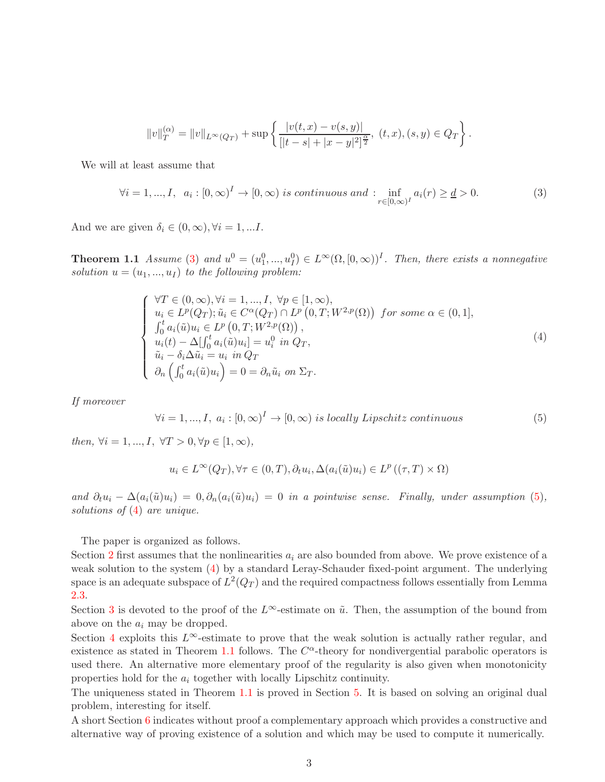$$
||v||_{T}^{(\alpha)}=||v||_{L^{\infty}(Q_{T})}+\sup\left\{\frac{|v(t,x)-v(s,y)|}{[|t-s|+|x-y|^{2}]^{\frac{\alpha}{2}}},\ (t,x),(s,y)\in Q_{T}\right\}.
$$

We will at least assume that

<span id="page-3-0"></span>
$$
\forall i = 1, ..., I, \ a_i : [0, \infty)^I \to [0, \infty) \ is \ continuous \ and \ : \inf_{r \in [0, \infty)^I} a_i(r) \geq \underline{d} > 0. \tag{3}
$$

<span id="page-3-3"></span>And we are given  $\delta_i \in (0, \infty), \forall i = 1, ...I$ .

**Theorem 1.1** Assume [\(3\)](#page-3-0) and  $u^0 = (u_1^0, ..., u_I^0) \in L^{\infty}(\Omega, [0, \infty))^I$ . Then, there exists a nonnegative solution  $u = (u_1, ..., u_l)$  to the following problem:

<span id="page-3-2"></span>
$$
\begin{cases}\n\forall T \in (0, \infty), \forall i = 1, ..., I, \forall p \in [1, \infty), \\
u_i \in L^p(Q_T); \tilde{u}_i \in C^{\alpha}(Q_T) \cap L^p(0, T; W^{2, p}(\Omega)) \text{ for some } \alpha \in (0, 1], \\
\int_0^t a_i(\tilde{u}) u_i \in L^p(0, T; W^{2, p}(\Omega)), \\
u_i(t) - \Delta \left[\int_0^t a_i(\tilde{u}) u_i\right] = u_i^0 \text{ in } Q_T, \\
\tilde{u}_i - \delta_i \Delta \tilde{u}_i = u_i \text{ in } Q_T \\
\partial_n \left(\int_0^t a_i(\tilde{u}) u_i\right) = 0 = \partial_n \tilde{u}_i \text{ on } \Sigma_T.\n\end{cases} \tag{4}
$$

If moreover

<span id="page-3-1"></span>
$$
\forall i = 1, ..., I, \ a_i : [0, \infty)^I \to [0, \infty) \ is \ locally \ Lipschitz \ continuous
$$
 (5)

then,  $\forall i = 1, ..., I, \forall T > 0, \forall p \in [1, \infty),$ 

$$
u_i \in L^{\infty}(Q_T), \forall \tau \in (0, T), \partial_t u_i, \Delta(a_i(\tilde{u})u_i) \in L^p((\tau, T) \times \Omega)
$$

and  $\partial_t u_i - \Delta(a_i(\tilde{u})u_i) = 0, \partial_n(a_i(\tilde{u})u_i) = 0$  in a pointwise sense. Finally, under assumption [\(5\)](#page-3-1), solutions of  $(4)$  are unique.

The paper is organized as follows.

Section [2](#page-4-0) first assumes that the nonlinearities  $a_i$  are also bounded from above. We prove existence of a weak solution to the system [\(4\)](#page-3-2) by a standard Leray-Schauder fixed-point argument. The underlying space is an adequate subspace of  $L^2(Q_T)$  and the required compactness follows essentially from Lemma [2.3.](#page-4-1)

Section [3](#page-8-0) is devoted to the proof of the L∞-estimate on  $\tilde{u}$ . Then, the assumption of the bound from above on the  $a_i$  may be dropped.

Section [4](#page-13-0) exploits this L∞-estimate to prove that the weak solution is actually rather regular, and existence as stated in Theorem [1.1](#page-3-3) follows. The  $C^{\alpha}$ -theory for nondivergential parabolic operators is used there. An alternative more elementary proof of the regularity is also given when monotonicity properties hold for the  $a_i$  together with locally Lipschitz continuity.

The uniqueness stated in Theorem [1.1](#page-3-3) is proved in Section [5.](#page-17-0) It is based on solving an original dual problem, interesting for itself.

A short Section [6](#page-19-1) indicates without proof a complementary approach which provides a constructive and alternative way of proving existence of a solution and which may be used to compute it numerically.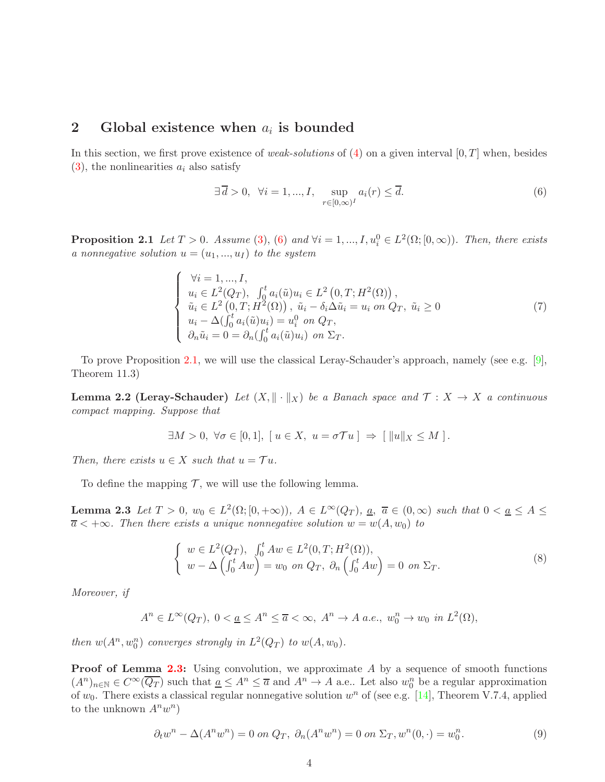### <span id="page-4-0"></span>2 Global existence when  $a_i$  is bounded

In this section, we first prove existence of *weak-solutions* of  $(4)$  on a given interval  $[0, T]$  when, besides  $(3)$ , the nonlinearities  $a_i$  also satisfy

<span id="page-4-2"></span>
$$
\exists \overline{d} > 0, \ \forall i = 1, ..., I, \ \sup_{r \in [0,\infty)^I} a_i(r) \le \overline{d}.\tag{6}
$$

<span id="page-4-3"></span>**Proposition 2.1** Let  $T > 0$ . Assume [\(3\)](#page-3-0), [\(6\)](#page-4-2) and  $\forall i = 1, ..., I, u_i^0 \in L^2(\Omega; [0, \infty))$ . Then, there exists a nonnegative solution  $u = (u_1, ..., u_I)$  to the system

<span id="page-4-6"></span>
$$
\begin{cases}\n\forall i = 1, ..., I, \\
u_i \in L^2(Q_T), \int_0^t a_i(\tilde{u}) u_i \in L^2(0, T; H^2(\Omega)), \\
\tilde{u}_i \in L^2(0, T; H^2(\Omega)), \tilde{u}_i - \delta_i \Delta \tilde{u}_i = u_i \text{ on } Q_T, \tilde{u}_i \ge 0 \\
u_i - \Delta(\int_0^t a_i(\tilde{u}) u_i) = u_i^0 \text{ on } Q_T, \\
\partial_n \tilde{u}_i = 0 = \partial_n(\int_0^t a_i(\tilde{u}) u_i) \text{ on } \Sigma_T.\n\end{cases} \tag{7}
$$

To prove Proposition [2.1,](#page-4-3) we will use the classical Leray-Schauder's approach, namely (see e.g. [\[9\]](#page-20-13), Theorem 11.3)

**Lemma 2.2 (Leray-Schauder)** Let  $(X, \|\cdot\|_X)$  be a Banach space and  $\mathcal{T}: X \to X$  a continuous compact mapping. Suppose that

<span id="page-4-7"></span>
$$
\exists M > 0, \ \forall \sigma \in [0,1], \ [u \in X, \ u = \sigma \mathcal{T}u \ ] \Rightarrow \ [\Vert u \Vert_X \leq M \ ].
$$

Then, there exists  $u \in X$  such that  $u = \mathcal{T}u$ .

<span id="page-4-1"></span>To define the mapping  $\mathcal T$ , we will use the following lemma.

**Lemma 2.3** Let  $T > 0$ ,  $w_0 \in L^2(\Omega; [0, +\infty))$ ,  $A \in L^{\infty}(Q_T)$ ,  $\underline{a}$ ,  $\overline{a} \in (0, \infty)$  such that  $0 < \underline{a} \leq A \leq$  $\overline{a}$  < + $\infty$ . Then there exists a unique nonnegative solution  $w = w(A, w_0)$  to

<span id="page-4-5"></span>
$$
\begin{cases}\nw \in L^{2}(Q_{T}), & \int_{0}^{t} Aw \in L^{2}(0, T; H^{2}(\Omega)), \\
w - \Delta \left(\int_{0}^{t} Aw\right) = w_{0} & \text{on } Q_{T}, \ \partial_{n} \left(\int_{0}^{t} Aw\right) = 0 & \text{on } \Sigma_{T}.\n\end{cases}
$$
\n(8)

Moreover, if

$$
A^n \in L^{\infty}(Q_T), \ 0 < \underline{a} \le A^n \le \overline{a} < \infty, \ A^n \to A \ a.e., \ w_0^n \to w_0 \ \ in \ L^2(\Omega),
$$

then  $w(A^n, w_0^n)$  converges strongly in  $L^2(Q_T)$  to  $w(A, w_0)$ .

Proof of Lemma [2.3:](#page-4-1) Using convolution, we approximate A by a sequence of smooth functions  $(A^n)_{n\in\mathbb{N}}\in C^{\infty}(\overline{Q_T})$  such that  $\underline{a}\leq A^n\leq \overline{a}$  and  $A^n\to A$  a.e.. Let also  $w_0^n$  be a regular approximation of  $w_0$ . There exists a classical regular nonnegative solution  $w^n$  of (see e.g. [\[14\]](#page-20-14), Theorem V.7.4, applied to the unknown  $A^n w^n$ )

<span id="page-4-4"></span>
$$
\partial_t w^n - \Delta(A^n w^n) = 0 \text{ on } Q_T, \ \partial_n (A^n w^n) = 0 \text{ on } \Sigma_T, w^n(0, \cdot) = w_0^n. \tag{9}
$$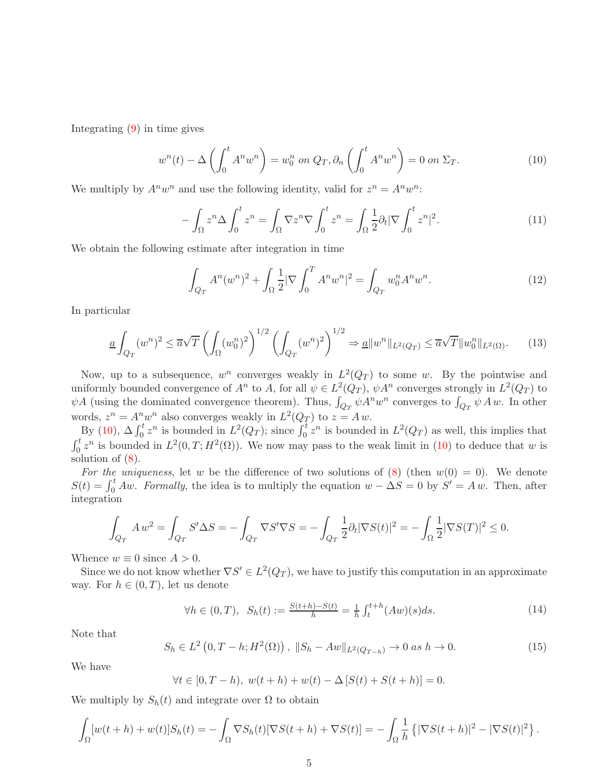Integrating [\(9\)](#page-4-4) in time gives

<span id="page-5-0"></span>
$$
w^{n}(t) - \Delta \left( \int_{0}^{t} A^{n} w^{n} \right) = w_{0}^{n} \text{ on } Q_{T}, \partial_{n} \left( \int_{0}^{t} A^{n} w^{n} \right) = 0 \text{ on } \Sigma_{T}.
$$
 (10)

We multiply by  $A^n w^n$  and use the following identity, valid for  $z^n = A^n w^n$ .

$$
-\int_{\Omega} z^n \Delta \int_0^t z^n = \int_{\Omega} \nabla z^n \nabla \int_0^t z^n = \int_{\Omega} \frac{1}{2} \partial_t |\nabla \int_0^t z^n|^2. \tag{11}
$$

We obtain the following estimate after integration in time

$$
\int_{Q_T} A^n (w^n)^2 + \int_{\Omega} \frac{1}{2} |\nabla \int_0^T A^n w^n|^2 = \int_{Q_T} w_0^n A^n w^n. \tag{12}
$$

In particular

<span id="page-5-2"></span>
$$
\underline{a} \int_{Q_T} (w^n)^2 \le \overline{a} \sqrt{T} \left( \int_{\Omega} (w_0^n)^2 \right)^{1/2} \left( \int_{Q_T} (w^n)^2 \right)^{1/2} \Rightarrow \underline{a} \|w^n\|_{L^2(Q_T)} \le \overline{a} \sqrt{T} \|w_0^n\|_{L^2(\Omega)}. \tag{13}
$$

Now, up to a subsequence,  $w^n$  converges weakly in  $L^2(Q_T)$  to some w. By the pointwise and uniformly bounded convergence of  $A^n$  to A, for all  $\psi \in L^2(Q_T)$ ,  $\psi A^n$  converges strongly in  $L^2(Q_T)$  to  $\psi A$  (using the dominated convergence theorem). Thus,  $\int_{Q_T} \psi A^n w^n$  converges to  $\int_{Q_T} \psi A w$ . In other words,  $z^n = A^n w^n$  also converges weakly in  $L^2(Q_T)$  to  $z = A w$ .

By [\(10\)](#page-5-0),  $\Delta \int_0^t z^n$  is bounded in  $L^2(Q_T)$ ; since  $\int_0^t z^n$  is bounded in  $L^2(Q_T)$  as well, this implies that  $\int_0^t z^n$  is bounded in  $L^2(0,T;H^2(\Omega))$ . We now may pass to the weak limit in [\(10\)](#page-5-0) to deduce that w is solution of [\(8\)](#page-4-5).

For the uniqueness, let w be the difference of two solutions of  $(8)$  (then  $w(0) = 0$ ). We denote  $S(t) = \int_0^t A w$ . Formally, the idea is to multiply the equation  $w - \Delta S = 0$  by  $S' = A w$ . Then, after integration

$$
\int_{Q_T} A w^2 = \int_{Q_T} S' \Delta S = -\int_{Q_T} \nabla S' \nabla S = -\int_{Q_T} \frac{1}{2} \partial_t |\nabla S(t)|^2 = -\int_{\Omega} \frac{1}{2} |\nabla S(T)|^2 \le 0.
$$

Whence  $w \equiv 0$  since  $A > 0$ .

Since we do not know whether  $\nabla S' \in L^2(Q_T)$ , we have to justify this computation in an approximate way. For  $h \in (0, T)$ , let us denote

$$
\forall h \in (0, T), \ \ S_h(t) := \frac{S(t+h) - S(t)}{h} = \frac{1}{h} \int_t^{t+h} (Aw)(s)ds. \tag{14}
$$

Note that

<span id="page-5-1"></span>
$$
S_h \in L^2\left(0, T - h; H^2(\Omega)\right), \|S_h - Aw\|_{L^2(Q_{T-h})} \to 0 \text{ as } h \to 0. \tag{15}
$$

We have

$$
\forall t \in [0, T - h), \ w(t + h) + w(t) - \Delta [S(t) + S(t + h)] = 0.
$$

We multiply by  $S_h(t)$  and integrate over  $\Omega$  to obtain

$$
\int_{\Omega} [w(t+h) + w(t)] S_h(t) = - \int_{\Omega} \nabla S_h(t) [\nabla S(t+h) + \nabla S(t)] = - \int_{\Omega} \frac{1}{h} \left\{ |\nabla S(t+h)|^2 - |\nabla S(t)|^2 \right\}.
$$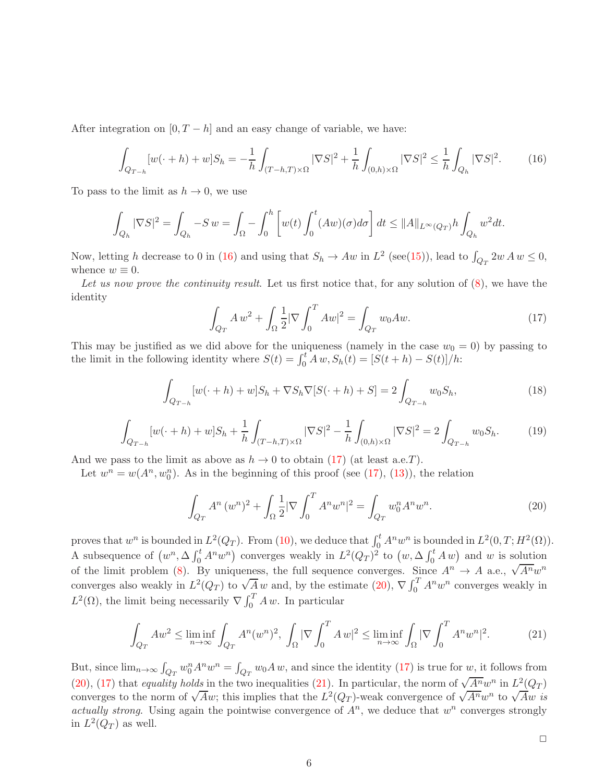After integration on  $[0, T - h]$  and an easy change of variable, we have:

<span id="page-6-0"></span>
$$
\int_{Q_{T-h}} [w(\cdot + h) + w] S_h = -\frac{1}{h} \int_{(T-h,T) \times \Omega} |\nabla S|^2 + \frac{1}{h} \int_{(0,h) \times \Omega} |\nabla S|^2 \le \frac{1}{h} \int_{Q_h} |\nabla S|^2. \tag{16}
$$

To pass to the limit as  $h \to 0$ , we use

$$
\int_{Q_h} |\nabla S|^2 = \int_{Q_h} -S w = \int_{\Omega} -\int_0^h \left[ w(t) \int_0^t (Aw)(\sigma) d\sigma \right] dt \leq ||A||_{L^{\infty}(Q_T)} h \int_{Q_h} w^2 dt.
$$

Now, letting h decrease to 0 in [\(16\)](#page-6-0) and using that  $S_h \to Aw$  in  $L^2$  (see[\(15\)](#page-5-1)), lead to  $\int_{Q_T} 2w \, Aw \leq 0$ , whence  $w \equiv 0$ .

Let us now prove the continuity result. Let us first notice that, for any solution of  $(8)$ , we have the identity

<span id="page-6-1"></span>
$$
\int_{Q_T} A w^2 + \int_{\Omega} \frac{1}{2} |\nabla \int_0^T A w|^2 = \int_{Q_T} w_0 A w. \tag{17}
$$

This may be justified as we did above for the uniqueness (namely in the case  $w_0 = 0$ ) by passing to the limit in the following identity where  $S(t) = \int_0^t A w$ ,  $S_h(t) = [S(t+h) - S(t)]/h$ :

$$
\int_{Q_{T-h}} [w(\cdot + h) + w] S_h + \nabla S_h \nabla [S(\cdot + h) + S] = 2 \int_{Q_{T-h}} w_0 S_h,
$$
\n(18)

$$
\int_{Q_{T-h}} [w(\cdot+h) + w] S_h + \frac{1}{h} \int_{(T-h,T) \times \Omega} |\nabla S|^2 - \frac{1}{h} \int_{(0,h) \times \Omega} |\nabla S|^2 = 2 \int_{Q_{T-h}} w_0 S_h. \tag{19}
$$

And we pass to the limit as above as  $h \to 0$  to obtain [\(17\)](#page-6-1) (at least a.e.T).

Let  $w^n = w(A^n, w_0^n)$ . As in the beginning of this proof (see [\(17\)](#page-6-1), [\(13\)](#page-5-2)), the relation

<span id="page-6-2"></span>
$$
\int_{Q_T} A^n (w^n)^2 + \int_{\Omega} \frac{1}{2} |\nabla \int_0^T A^n w^n|^2 = \int_{Q_T} w_0^n A^n w^n.
$$
\n(20)

proves that  $w^n$  is bounded in  $L^2(Q_T)$ . From [\(10\)](#page-5-0), we deduce that  $\int_0^t A^n w^n$  is bounded in  $L^2(0,T;H^2(\Omega))$ . A subsequence of  $(w^n, \Delta \int_0^t A^n w^n)$  converges weakly in  $L^2(Q_T)^2$  to  $(w, \Delta \int_0^t A w)$  and w is solution of the limit problem [\(8\)](#page-4-5). By uniqueness, the full sequence converges. Since  $A^n \to A$  a.e.,  $\sqrt{A^n} w^n$ converges also weakly in  $L^2(Q_T)$  to  $\sqrt{A} w$  and, by the estimate [\(20\)](#page-6-2),  $\nabla \int_0^T A^n w^n$  converges weakly in  $L^2(\Omega)$ , the limit being necessarily  $\nabla \int_0^T A w$ . In particular

<span id="page-6-3"></span>
$$
\int_{Q_T} Aw^2 \le \liminf_{n \to \infty} \int_{Q_T} A^n (w^n)^2, \int_{\Omega} |\nabla \int_0^T A w|^2 \le \liminf_{n \to \infty} \int_{\Omega} |\nabla \int_0^T A^n w^n|^2. \tag{21}
$$

But, since  $\lim_{n\to\infty} \int_{Q_T} w_0^n A^n w^n = \int_{Q_T} w_0 A w$ , and since the identity [\(17\)](#page-6-1) is true for w, it follows from [\(20\)](#page-6-2), [\(17\)](#page-6-1) that equality holds in the two inequalities [\(21\)](#page-6-3). In particular, the norm of  $\sqrt{A^n}w^n$  in  $L^2(Q_T)$ converges to the norm of  $\sqrt{Aw}$ ; this implies that the  $L^2(Q_T)$ -weak convergence of  $\sqrt{A^n w^n}$  to  $\sqrt{Aw}$  is actually strong. Using again the pointwise convergence of  $A<sup>n</sup>$ , we deduce that  $w<sup>n</sup>$  converges strongly in  $L^2(Q_T)$  as well.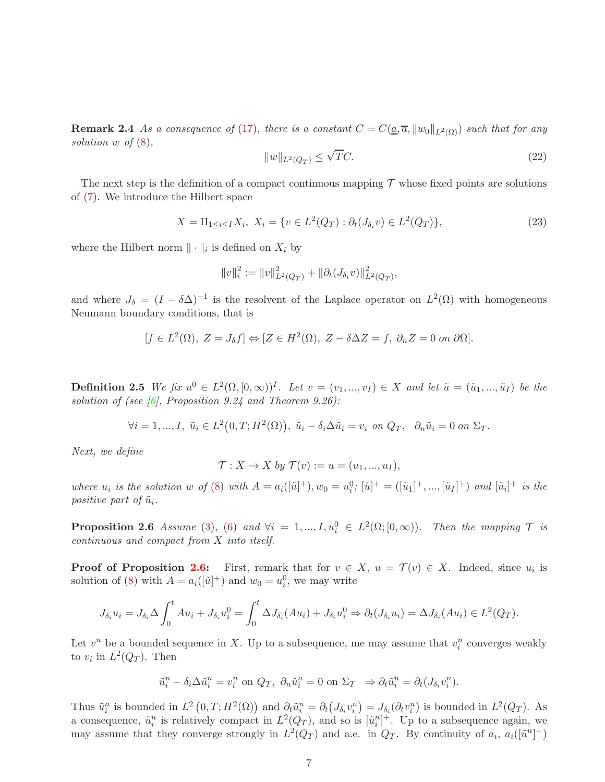**Remark 2.4** As a consequence of [\(17\)](#page-6-1), there is a constant  $C = C(a, \overline{a}, ||w_0||_{L^2(\Omega)})$  such that for any solution w of  $(8)$ ,

<span id="page-7-1"></span>
$$
||w||_{L^2(Q_T)} \le \sqrt{T}C. \tag{22}
$$

The next step is the definition of a compact continuous mapping  $\mathcal T$  whose fixed points are solutions of [\(7\)](#page-4-6). We introduce the Hilbert space

<span id="page-7-2"></span>
$$
X = \Pi_{1 \le i \le I} X_i, \ X_i = \{ v \in L^2(Q_T) : \partial_t(J_{\delta_i} v) \in L^2(Q_T) \},\tag{23}
$$

where the Hilbert norm  $\|\cdot\|_i$  is defined on  $X_i$  by

$$
||v||_i^2 := ||v||_{L^2(Q_T)}^2 + ||\partial_t (J_{\delta_i}v)||_{L^2(Q_T)}^2,
$$

and where  $J_{\delta} = (I - \delta \Delta)^{-1}$  is the resolvent of the Laplace operator on  $L^2(\Omega)$  with homogeneous Neumann boundary conditions, that is

$$
[f \in L^{2}(\Omega), Z = J_{\delta}f] \Leftrightarrow [Z \in H^{2}(\Omega), Z - \delta \Delta Z = f, \partial_{n}Z = 0 \text{ on } \partial \Omega].
$$

**Definition 2.5** We fix  $u^0 \in L^2(\Omega, [0, \infty))^I$ . Let  $v = (v_1, ..., v_I) \in X$  and let  $\tilde{u} = (\tilde{u}_1, ..., \tilde{u}_I)$  be the solution of (see  $[6]$ , Proposition 9.24 and Theorem 9.26):

$$
\forall i = 1, ..., I, \ \tilde{u}_i \in L^2(0, T; H^2(\Omega)), \ \tilde{u}_i - \delta_i \Delta \tilde{u}_i = v_i \ \text{on } Q_T, \ \ \partial_n \tilde{u}_i = 0 \ \text{on } \Sigma_T.
$$

Next, we define

$$
\mathcal{T}: X \to X \text{ by } \mathcal{T}(v) := u = (u_1, ..., u_I),
$$

where  $u_i$  is the solution w of [\(8\)](#page-4-5) with  $A = a_i([{\tilde{u}}]^+), w_0 = u_i^0; [{\tilde{u}}]^+ = ([{\tilde{u}}_1]^+,...,[{\tilde{u}}_I]^+)$  and  $[{\tilde{u}}_i]^+$  is the positive part of  $\tilde{u}_i$ .

<span id="page-7-0"></span>**Proposition 2.6** Assume [\(3\)](#page-3-0), [\(6\)](#page-4-2) and  $\forall i = 1, ..., I, u_i^0 \in L^2(\Omega; [0, \infty))$ . Then the mapping  $\mathcal T$  is continuous and compact from X into itself.

**Proof of Proposition [2.6:](#page-7-0)** First, remark that for  $v \in X$ ,  $u = \mathcal{T}(v) \in X$ . Indeed, since  $u_i$  is solution of [\(8\)](#page-4-5) with  $A = a_i([\tilde{u}]^+)$  and  $w_0 = u_i^0$ , we may write

$$
J_{\delta_i} u_i = J_{\delta_i} \Delta \int_0^t A u_i + J_{\delta_i} u_i^0 = \int_0^t \Delta J_{\delta_i} (Au_i) + J_{\delta_i} u_i^0 \Rightarrow \partial_t (J_{\delta_i} u_i) = \Delta J_{\delta_i} (Au_i) \in L^2(Q_T).
$$

Let  $v^n$  be a bounded sequence in X. Up to a subsequence, me may assume that  $v_i^n$  converges weakly to  $v_i$  in  $L^2(Q_T)$ . Then

$$
\tilde{u}_i^n - \delta_i \Delta \tilde{u}_i^n = v_i^n \text{ on } Q_T, \ \partial_n \tilde{u}_i^n = 0 \text{ on } \Sigma_T \Rightarrow \partial_t \tilde{u}_i^n = \partial_t (J_{\delta_i} v_i^n).
$$

Thus  $\tilde{u}_i^n$  is bounded in  $L^2(0,T;H^2(\Omega))$  and  $\partial_t \tilde{u}_i^n = \partial_t(J_{\delta_i}v_i^n) = J_{\delta_i}(\partial_t v_i^n)$  is bounded in  $L^2(Q_T)$ . As a consequence,  $\tilde{u}_i^n$  is relatively compact in  $L^2(Q_T)$ , and so is  $[\tilde{u}_i^n]^+$ . Up to a subsequence again, we may assume that they converge strongly in  $L^2(Q_T)$  and a.e. in  $Q_T$ . By continuity of  $a_i$ ,  $a_i([\tilde{u}^n]^{+})$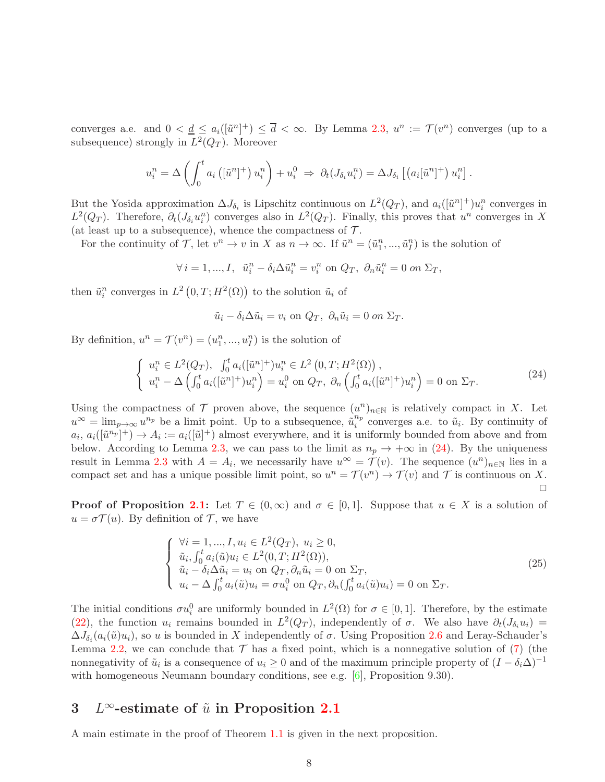converges a.e. and  $0 < \underline{d} \leq a_i([{\tilde{u}}^n]^+) \leq {\overline{d}} < \infty$ . By Lemma [2.3,](#page-4-1)  $u^n := \mathcal{T}(v^n)$  converges (up to a subsequence) strongly in  $L^2(Q_T)$ . Moreover

$$
u_i^n = \Delta \left( \int_0^t a_i \left( [\tilde{u}^n]^+ \right) u_i^n \right) + u_i^0 \Rightarrow \partial_t (J_{\delta_i} u_i^n) = \Delta J_{\delta_i} \left[ \left( a_i [\tilde{u}^n]^+ \right) u_i^n \right].
$$

But the Yosida approximation  $\Delta J_{\delta_i}$  is Lipschitz continuous on  $L^2(Q_T)$ , and  $a_i([\tilde{u}^n]^+)u_i^n$  converges in  $L^2(Q_T)$ . Therefore,  $\partial_t(J_{\delta_i}u_i^n)$  converges also in  $L^2(Q_T)$ . Finally, this proves that  $u^n$  converges in X (at least up to a subsequence), whence the compactness of  $\mathcal{T}$ .

For the continuity of T, let  $v^n \to v$  in X as  $n \to \infty$ . If  $\tilde{u}^n = (\tilde{u}_1^n, ..., \tilde{u}_I^n)$  is the solution of

$$
\forall i=1,...,I, \ \tilde{u}_i^n-\delta_i\Delta\tilde{u}_i^n=v_i^n \text{ on } Q_T, \ \partial_n\tilde{u}_i^n=0 \text{ on } \Sigma_T,
$$

then  $\tilde{u}_i^n$  converges in  $L^2(0,T;H^2(\Omega))$  to the solution  $\tilde{u}_i$  of

$$
\tilde{u}_i - \delta_i \Delta \tilde{u}_i = v_i \text{ on } Q_T, \ \partial_n \tilde{u}_i = 0 \text{ on } \Sigma_T.
$$

By definition,  $u^n = \mathcal{T}(v^n) = (u_1^n, ..., u_I^n)$  is the solution of

<span id="page-8-1"></span>
$$
\begin{cases}\n u_i^n \in L^2(Q_T), \quad \int_0^t a_i([\tilde{u}^n]^+) u_i^n \in L^2(0, T; H^2(\Omega)), \\
 u_i^n - \Delta \left( \int_0^t a_i([\tilde{u}^n]^+) u_i^n \right) = u_i^0 \text{ on } Q_T, \ \partial_n \left( \int_0^t a_i([\tilde{u}^n]^+) u_i^n \right) = 0 \text{ on } \Sigma_T.\n\end{cases} \tag{24}
$$

Using the compactness of  $\mathcal T$  proven above, the sequence  $(u^n)_{n\in\mathbb N}$  is relatively compact in X. Let  $u^{\infty} = \lim_{p \to \infty} u^{n_p}$  be a limit point. Up to a subsequence,  $\tilde{u}_i^{n_p}$  $i<sup>n<sub>p</sub></sup>$  converges a.e. to  $\tilde{u}<sub>i</sub>$ . By continuity of  $a_i, a_i([{\tilde{u}}^{n_p}]^+) \to A_i := a_i([{\tilde{u}}]^+)$  almost everywhere, and it is uniformly bounded from above and from below. According to Lemma [2.3,](#page-4-1) we can pass to the limit as  $n_p \to +\infty$  in [\(24\)](#page-8-1). By the uniqueness result in Lemma [2.3](#page-4-1) with  $A = A_i$ , we necessarily have  $u^{\infty} = \mathcal{T}(v)$ . The sequence  $(u^n)_{n \in \mathbb{N}}$  lies in a compact set and has a unique possible limit point, so  $u^n = \mathcal{T}(v^n) \to \mathcal{T}(v)$  and  $\mathcal T$  is continuous on X.  $\Box$ 

**Proof of Proposition [2.1:](#page-4-3)** Let  $T \in (0,\infty)$  and  $\sigma \in [0,1]$ . Suppose that  $u \in X$  is a solution of  $u = \sigma \mathcal{T}(u)$ . By definition of  $\mathcal{T}$ , we have

<span id="page-8-2"></span>
$$
\begin{cases}\n\forall i = 1, ..., I, u_i \in L^2(Q_T), u_i \ge 0, \\
\tilde{u}_i, \int_0^t a_i(\tilde{u}) u_i \in L^2(0, T; H^2(\Omega)), \\
\tilde{u}_i - \delta_i \Delta \tilde{u}_i = u_i \text{ on } Q_T, \partial_n \tilde{u}_i = 0 \text{ on } \Sigma_T, \\
u_i - \Delta \int_0^t a_i(\tilde{u}) u_i = \sigma u_i^0 \text{ on } Q_T, \partial_n (\int_0^t a_i(\tilde{u}) u_i) = 0 \text{ on } \Sigma_T.\n\end{cases}
$$
\n(25)

The initial conditions  $\sigma u_i^0$  are uniformly bounded in  $L^2(\Omega)$  for  $\sigma \in [0,1]$ . Therefore, by the estimate [\(22\)](#page-7-1), the function  $u_i$  remains bounded in  $L^2(Q_T)$ , independently of  $\sigma$ . We also have  $\partial_t(J_{\delta_i}u_i)$  =  $\Delta J_{\delta_i}(a_i(\tilde{u})u_i)$ , so u is bounded in X independently of  $\sigma$ . Using Proposition [2.6](#page-7-0) and Leray-Schauder's Lemma [2.2,](#page-4-7) we can conclude that  $\mathcal T$  has a fixed point, which is a nonnegative solution of [\(7\)](#page-4-6) (the nonnegativity of  $\tilde{u}_i$  is a consequence of  $u_i \geq 0$  and of the maximum principle property of  $(I - \delta_i \Delta)^{-1}$ with homogeneous Neumann boundary conditions, see e.g.  $[6]$ , Proposition 9.30).

## <span id="page-8-0"></span>3 L<sup> $\infty$ </sup>-estimate of  $\tilde{u}$  in Proposition [2.1](#page-4-3)

A main estimate in the proof of Theorem [1.1](#page-3-3) is given in the next proposition.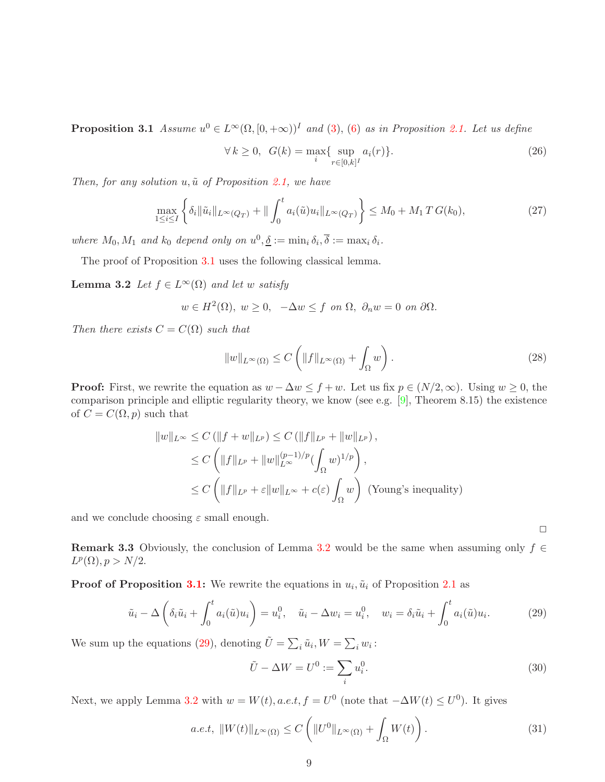**Proposition 3.1** Assume  $u^0 \in L^{\infty}(\Omega, [0, +\infty))^I$  and [\(3\)](#page-3-0), [\(6\)](#page-4-2) as in Proposition [2.1.](#page-4-3) Let us define

<span id="page-9-2"></span>
$$
\forall k \ge 0, \ \ G(k) = \max_{i} \{ \sup_{r \in [0,k]^I} a_i(r) \}. \tag{26}
$$

Then, for any solution  $u, \tilde{u}$  of Proposition [2.1,](#page-4-3) we have

<span id="page-9-4"></span>
$$
\max_{1 \leq i \leq I} \left\{ \delta_i \|\tilde{u}_i\|_{L^{\infty}(Q_T)} + \|\int_0^t a_i(\tilde{u})u_i\|_{L^{\infty}(Q_T)} \right\} \leq M_0 + M_1 T G(k_0),\tag{27}
$$

where  $M_0, M_1$  and  $k_0$  depend only on  $u^0, \underline{\delta} := \min_i \delta_i, \overline{\delta} := \max_i \delta_i$ .

<span id="page-9-0"></span>The proof of Proposition [3.1](#page-8-2) uses the following classical lemma.

**Lemma 3.2** Let  $f \in L^{\infty}(\Omega)$  and let w satisfy

$$
w \in H^2(\Omega)
$$
,  $w \ge 0$ ,  $-\Delta w \le f$  on  $\Omega$ ,  $\partial_n w = 0$  on  $\partial\Omega$ .

Then there exists  $C = C(\Omega)$  such that

$$
||w||_{L^{\infty}(\Omega)} \leq C \left( ||f||_{L^{\infty}(\Omega)} + \int_{\Omega} w \right).
$$
\n(28)

**Proof:** First, we rewrite the equation as  $w - \Delta w \leq f + w$ . Let us fix  $p \in (N/2, \infty)$ . Using  $w \geq 0$ , the comparison principle and elliptic regularity theory, we know (see e.g. [\[9\]](#page-20-13), Theorem 8.15) the existence of  $C = C(\Omega, p)$  such that

$$
||w||_{L^{\infty}} \leq C \left( ||f+w||_{L^{p}} \right) \leq C \left( ||f||_{L^{p}} + ||w||_{L^{p}} \right),
$$
  
\n
$$
\leq C \left( ||f||_{L^{p}} + ||w||_{L^{\infty}}^{(p-1)/p} \left( \int_{\Omega} w \right)^{1/p} \right),
$$
  
\n
$$
\leq C \left( ||f||_{L^{p}} + \varepsilon ||w||_{L^{\infty}} + c(\varepsilon) \int_{\Omega} w \right) \text{ (Young's inequality)}
$$

and we conclude choosing  $\varepsilon$  small enough.

**Remark 3.3** Obviously, the conclusion of Lemma [3.2](#page-9-0) would be the same when assuming only  $f \in$  $L^p(\Omega), p > N/2.$ 

**Proof of Proposition [3.1:](#page-8-2)** We rewrite the equations in  $u_i$ ,  $\tilde{u}_i$  of Proposition [2.1](#page-4-3) as

<span id="page-9-1"></span>
$$
\tilde{u}_i - \Delta \left( \delta_i \tilde{u}_i + \int_0^t a_i(\tilde{u}) u_i \right) = u_i^0, \quad \tilde{u}_i - \Delta w_i = u_i^0, \quad w_i = \delta_i \tilde{u}_i + \int_0^t a_i(\tilde{u}) u_i. \tag{29}
$$

We sum up the equations [\(29\)](#page-9-1), denoting  $\tilde{U} = \sum_i \tilde{u}_i, W = \sum_i w_i$ :

<span id="page-9-3"></span>
$$
\tilde{U} - \Delta W = U^0 := \sum_i u_i^0.
$$
\n(30)

Next, we apply Lemma [3.2](#page-9-0) with  $w = W(t)$ , a.e.t,  $f = U^0$  (note that  $-\Delta W(t) \le U^0$ ). It gives

<span id="page-9-5"></span>
$$
a.e.t, \quad \|W(t)\|_{L^{\infty}(\Omega)} \le C\left(\|U^0\|_{L^{\infty}(\Omega)} + \int_{\Omega} W(t)\right). \tag{31}
$$

 $\Box$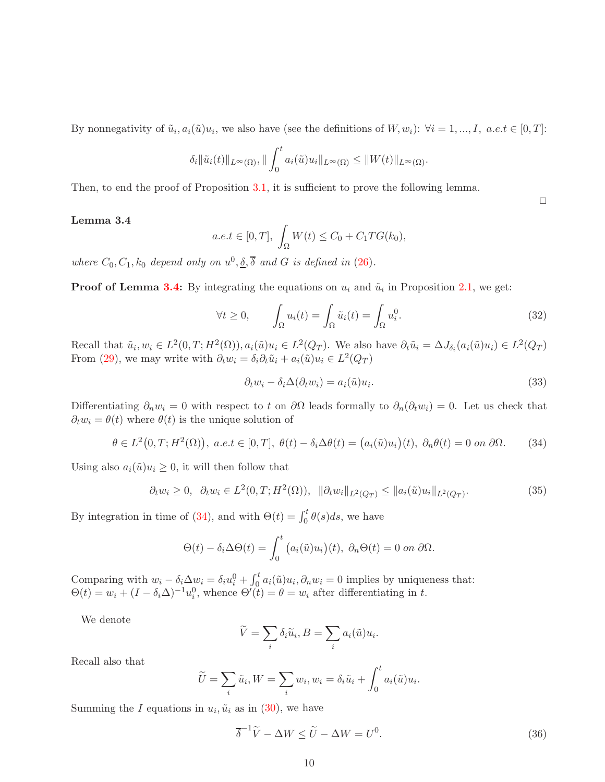By nonnegativity of  $\tilde{u}_i, a_i(\tilde{u})u_i$ , we also have (see the definitions of  $W, w_i$ ):  $\forall i = 1, ..., I$ ,  $a.e.t \in [0, T]$ :

$$
\delta_i \|\tilde{u}_i(t)\|_{L^{\infty}(\Omega)}, \|\int_0^t a_i(\tilde{u})u_i\|_{L^{\infty}(\Omega)} \leq \|W(t)\|_{L^{\infty}(\Omega)}.
$$

<span id="page-10-0"></span>Then, to end the proof of Proposition [3.1,](#page-8-2) it is sufficient to prove the following lemma.

#### Lemma 3.4

$$
a.e.t \in [0, T], \int_{\Omega} W(t) \le C_0 + C_1 T G(k_0),
$$

where  $C_0, C_1, k_0$  depend only on  $u^0, \underline{\delta}, \overline{\delta}$  and G is defined in [\(26\)](#page-9-2).

**Proof of Lemma [3.4:](#page-10-0)** By integrating the equations on  $u_i$  and  $\tilde{u}_i$  in Proposition [2.1,](#page-4-3) we get:

<span id="page-10-3"></span>
$$
\forall t \ge 0, \qquad \int_{\Omega} u_i(t) = \int_{\Omega} \tilde{u}_i(t) = \int_{\Omega} u_i^0. \tag{32}
$$

Recall that  $\tilde{u}_i, w_i \in L^2(0,T;H^2(\Omega)), a_i(\tilde{u})u_i \in L^2(Q_T)$ . We also have  $\partial_t \tilde{u}_i = \Delta J_{\delta_i}(a_i(\tilde{u})u_i) \in L^2(Q_T)$ From [\(29\)](#page-9-1), we may write with  $\partial_t w_i = \delta_i \partial_t \tilde{u}_i + a_i(\tilde{u}) u_i \in L^2(Q_T)$ 

<span id="page-10-4"></span>
$$
\partial_t w_i - \delta_i \Delta(\partial_t w_i) = a_i(\tilde{u}) u_i.
$$
\n(33)

Differentiating  $\partial_n w_i = 0$  with respect to t on  $\partial \Omega$  leads formally to  $\partial_n(\partial_t w_i) = 0$ . Let us check that  $\partial_t w_i = \theta(t)$  where  $\theta(t)$  is the unique solution of

<span id="page-10-1"></span>
$$
\theta \in L^2(0, T; H^2(\Omega)), \ a.e. t \in [0, T], \ \theta(t) - \delta_i \Delta \theta(t) = (a_i(\tilde{u})u_i)(t), \ \partial_n \theta(t) = 0 \text{ on } \partial \Omega. \tag{34}
$$

Using also  $a_i(\tilde{u})u_i \geq 0$ , it will then follow that

<span id="page-10-2"></span>
$$
\partial_t w_i \ge 0, \ \ \partial_t w_i \in L^2(0, T; H^2(\Omega)), \ \ \|\partial_t w_i\|_{L^2(Q_T)} \le \|a_i(\tilde{u})u_i\|_{L^2(Q_T)}.\tag{35}
$$

By integration in time of [\(34\)](#page-10-1), and with  $\Theta(t) = \int_0^t \theta(s) ds$ , we have

$$
\Theta(t) - \delta_i \Delta \Theta(t) = \int_0^t \big( a_i(\tilde{u}) u_i \big)(t), \ \partial_n \Theta(t) = 0 \ on \ \partial \Omega.
$$

Comparing with  $w_i - \delta_i \Delta w_i = \delta_i u_i^0 + \int_0^t a_i(\tilde{u}) u_i, \partial_n w_i = 0$  implies by uniqueness that:  $\Theta(t) = w_i + (I - \delta_i \Delta)^{-1} u_i^0$ , whence  $\Theta'(\tilde{t}) = \theta = w_i$  after differentiating in t.

We denote

$$
\widetilde{V} = \sum_{i} \delta_i \widetilde{u}_i, B = \sum_{i} a_i(\widetilde{u}) u_i.
$$

Recall also that

$$
\widetilde{U} = \sum_{i} \widetilde{u}_i, W = \sum_{i} w_i, w_i = \delta_i \widetilde{u}_i + \int_0^t a_i(\widetilde{u}) u_i
$$

Summing the I equations in  $u_i$ ,  $\tilde{u}_i$  as in [\(30\)](#page-9-3), we have

$$
\overline{\delta}^{-1}\widetilde{V} - \Delta W \le \widetilde{U} - \Delta W = U^0. \tag{36}
$$

.

 $\Box$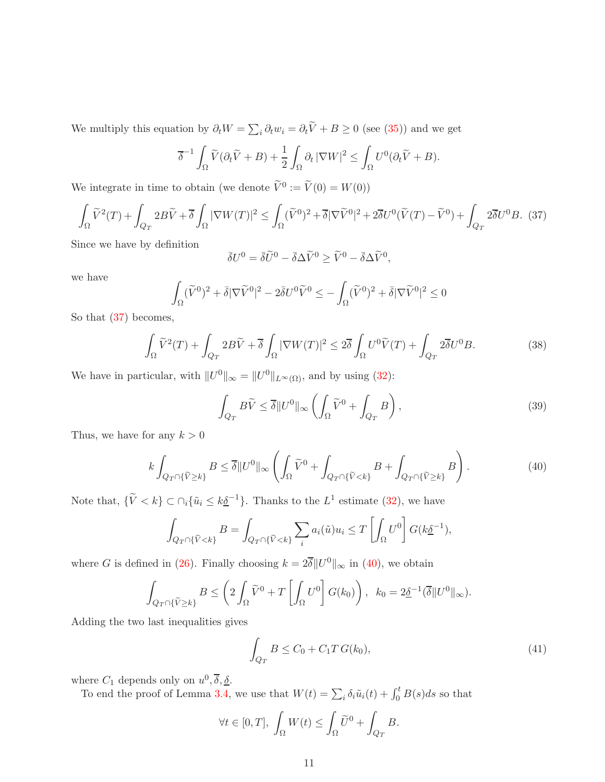We multiply this equation by  $\partial_t W = \sum_i \partial_t w_i = \partial_t \tilde{V} + B \ge 0$  (see [\(35\)](#page-10-2)) and we get

$$
\overline{\delta}^{-1} \int_{\Omega} \widetilde{V}(\partial_t \widetilde{V} + B) + \frac{1}{2} \int_{\Omega} \partial_t |\nabla W|^2 \le \int_{\Omega} U^0(\partial_t \widetilde{V} + B).
$$

We integrate in time to obtain (we denote  $\tilde{V}^0 := \tilde{V}(0) = W(0)$ )

<span id="page-11-0"></span>
$$
\int_{\Omega} \widetilde{V}^2(T) + \int_{Q_T} 2B\widetilde{V} + \overline{\delta} \int_{\Omega} |\nabla W(T)|^2 \le \int_{\Omega} (\widetilde{V}^0)^2 + \overline{\delta} |\nabla \widetilde{V}^0|^2 + 2\overline{\delta} U^0 (\widetilde{V}(T) - \widetilde{V}^0) + \int_{Q_T} 2\overline{\delta} U^0 B. (37)
$$

Since we have by definition

$$
\bar{\delta}U^0 = \bar{\delta}\widetilde{U}^0 - \bar{\delta}\Delta\widetilde{V}^0 \ge \widetilde{V}^0 - \bar{\delta}\Delta\widetilde{V}^0,
$$

we have

$$
\int_{\Omega} (\widetilde{V}^0)^2 + \bar{\delta} |\nabla \widetilde{V}^0|^2 - 2 \bar{\delta} U^0 \widetilde{V}^0 \le - \int_{\Omega} (\widetilde{V}^0)^2 + \bar{\delta} |\nabla \widetilde{V}^0|^2 \le 0
$$

So that [\(37\)](#page-11-0) becomes,

$$
\int_{\Omega} \widetilde{V}^2(T) + \int_{Q_T} 2B\widetilde{V} + \overline{\delta} \int_{\Omega} |\nabla W(T)|^2 \le 2\overline{\delta} \int_{\Omega} U^0 \widetilde{V}(T) + \int_{Q_T} 2\overline{\delta} U^0 B. \tag{38}
$$

We have in particular, with  $||U^0||_{\infty} = ||U^0||_{L^{\infty}(\Omega)}$ , and by using [\(32\)](#page-10-3):

$$
\int_{Q_T} B\widetilde{V} \le \overline{\delta} \|U^0\|_{\infty} \left( \int_{\Omega} \widetilde{V}^0 + \int_{Q_T} B \right),\tag{39}
$$

Thus, we have for any  $k > 0$ 

<span id="page-11-1"></span>
$$
k \int_{Q_T \cap \{\widetilde{V} \ge k\}} B \le \overline{\delta} \|U^0\|_{\infty} \left( \int_{\Omega} \widetilde{V}^0 + \int_{Q_T \cap \{\widetilde{V} < k\}} B + \int_{Q_T \cap \{\widetilde{V} \ge k\}} B \right). \tag{40}
$$

Note that,  $\{\tilde{V} < k\} \subset \bigcap_i \{\tilde{u}_i \leq k\underline{\delta}^{-1}\}.$  Thanks to the  $L^1$  estimate [\(32\)](#page-10-3), we have

$$
\int_{Q_T \cap \{\widetilde{V} < k\}} B = \int_{Q_T \cap \{\widetilde{V} < k\}} \sum_i a_i(\widetilde{u}) u_i \le T \left[ \int_{\Omega} U^0 \right] G(k \underline{\delta}^{-1}),
$$

where G is defined in [\(26\)](#page-9-2). Finally choosing  $k = 2\overline{\delta} ||U^0||_{\infty}$  in [\(40\)](#page-11-1), we obtain

$$
\int_{Q_T \cap \{\widetilde{V} \ge k\}} B \le \left(2 \int_{\Omega} \widetilde{V}^0 + T \left[ \int_{\Omega} U^0 \right] G(k_0) \right), \ \ k_0 = 2 \underline{\delta}^{-1} (\overline{\delta} \| U^0 \|_{\infty}).
$$

Adding the two last inequalities gives

<span id="page-11-2"></span>
$$
\int_{Q_T} B \le C_0 + C_1 T G(k_0),\tag{41}
$$

where  $C_1$  depends only on  $u^0, \overline{\delta}, \underline{\delta}$ .

To end the proof of Lemma [3.4,](#page-10-0) we use that  $W(t) = \sum_i \delta_i \tilde{u}_i(t) + \int_0^t B(s)ds$  so that

$$
\forall t \in [0,T], \ \int_{\Omega} W(t) \leq \int_{\Omega} \widetilde{U}^0 + \int_{Q_T} B.
$$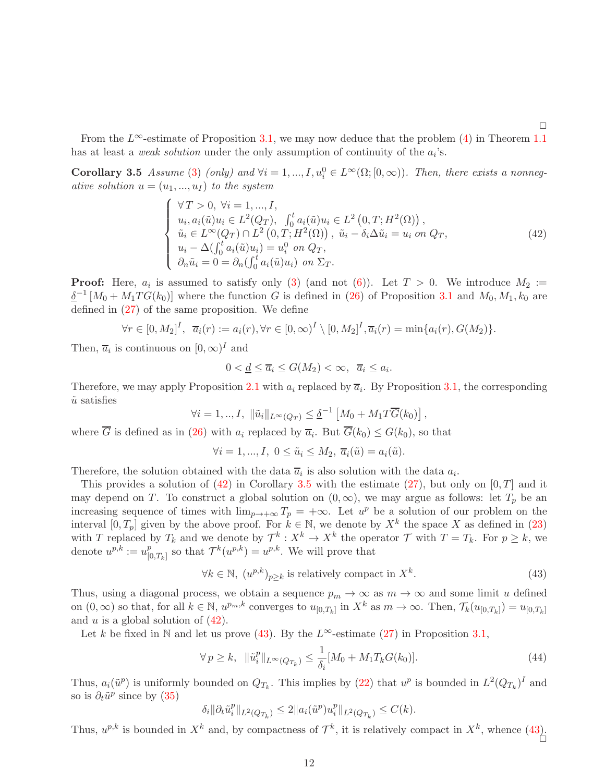<span id="page-12-1"></span>From the  $L^{\infty}$ -estimate of Proposition [3.1,](#page-8-2) we may now deduce that the problem [\(4\)](#page-3-2) in Theorem [1.1](#page-3-3) has at least a *weak solution* under the only assumption of continuity of the  $a_i$ 's.

Corollary 3.5 Assume [\(3\)](#page-3-0) (only) and  $\forall i = 1, ..., I, u_i^0 \in L^{\infty}(\Omega; [0, \infty))$ . Then, there exists a nonnegative solution  $u = (u_1, ..., u_I)$  to the system

<span id="page-12-0"></span>
$$
\begin{cases}\n\forall T > 0, \ \forall i = 1, ..., I, \\
u_i, a_i(\tilde{u})u_i \in L^2(Q_T), \ \int_0^t a_i(\tilde{u})u_i \in L^2(0, T; H^2(\Omega)), \\
\tilde{u}_i \in L^\infty(Q_T) \cap L^2(0, T; H^2(\Omega)), \ \tilde{u}_i - \delta_i \Delta \tilde{u}_i = u_i \ on \ Q_T, \\
u_i - \Delta(\int_0^t a_i(\tilde{u})u_i) = u_i^0 \ on \ Q_T, \\
\partial_n \tilde{u}_i = 0 = \partial_n(\int_0^t a_i(\tilde{u})u_i) \ on \ \Sigma_T.\n\end{cases} \tag{42}
$$

**Proof:** Here,  $a_i$  is assumed to satisfy only [\(3\)](#page-3-0) (and not [\(6\)](#page-4-2)). Let  $T > 0$ . We introduce  $M_2 :=$  $\delta^{-1}[M_0 + M_1TG(k_0)]$  where the function G is defined in [\(26\)](#page-9-2) of Proposition [3.1](#page-8-2) and  $M_0, M_1, k_0$  are defined in [\(27\)](#page-9-4) of the same proposition. We define

$$
\forall r \in [0, M_2]^I, \ \ \overline{a}_i(r) := a_i(r), \forall r \in [0, \infty)^I \setminus [0, M_2]^I, \overline{a}_i(r) = \min\{a_i(r), G(M_2)\}.
$$

Then,  $\overline{a}_i$  is continuous on  $[0, \infty)^I$  and

$$
0 < \underline{d} \le \overline{a}_i \le G(M_2) < \infty, \ \overline{a}_i \le a_i.
$$

Therefore, we may apply Proposition [2.1](#page-4-3) with  $a_i$  replaced by  $\overline{a}_i$ . By Proposition [3.1,](#page-8-2) the corresponding  $\tilde{u}$  satisfies

$$
\forall i = 1, ..., I, \ \|\tilde{u}_i\|_{L^{\infty}(Q_T)} \leq \underline{\delta}^{-1} \left[M_0 + M_1 T \overline{G}(k_0)\right],
$$

where G is defined as in [\(26\)](#page-9-2) with  $a_i$  replaced by  $\overline{a}_i$ . But  $G(k_0) \leq G(k_0)$ , so that

$$
\forall i = 1, ..., I, \ 0 \leq \tilde{u}_i \leq M_2, \ \overline{a}_i(\tilde{u}) = a_i(\tilde{u}).
$$

Therefore, the solution obtained with the data  $\overline{a}_i$  is also solution with the data  $a_i$ .

This provides a solution of  $(42)$  in Corollary [3.5](#page-12-1) with the estimate  $(27)$ , but only on  $[0, T]$  and it may depend on T. To construct a global solution on  $(0, \infty)$ , we may argue as follows: let  $T_p$  be an increasing sequence of times with  $\lim_{p\to+\infty}T_p = +\infty$ . Let  $u^p$  be a solution of our problem on the interval  $[0, T_p]$  given by the above proof. For  $k \in \mathbb{N}$ , we denote by  $X^k$  the space X as defined in [\(23\)](#page-7-2) with T replaced by  $T_k$  and we denote by  $\mathcal{T}^k: X^k \to X^k$  the operator  $\mathcal T$  with  $T = T_k$ . For  $p \geq k$ , we denote  $u^{p,k} := u_{\text{tr}}^p$  $_{[0,T_k]}^p$  so that  $\mathcal{T}^k(u^{p,k}) = u^{p,k}$ . We will prove that

<span id="page-12-2"></span>
$$
\forall k \in \mathbb{N}, \ (u^{p,k})_{p \ge k} \text{ is relatively compact in } X^k. \tag{43}
$$

Thus, using a diagonal process, we obtain a sequence  $p_m \to \infty$  as  $m \to \infty$  and some limit u defined on  $(0, \infty)$  so that, for all  $k \in \mathbb{N}$ ,  $u^{p_m,k}$  converges to  $u_{[0,T_k]}$  in  $X^k$  as  $m \to \infty$ . Then,  $\mathcal{T}_k(u_{[0,T_k]}) = u_{[0,T_k]}$ and u is a global solution of  $(42)$ .

Let k be fixed in N and let us prove [\(43\)](#page-12-2). By the  $L^{\infty}$ -estimate [\(27\)](#page-9-4) in Proposition [3.1,](#page-8-2)

$$
\forall p \ge k, \ \ \|\tilde{u}_i^p\|_{L^{\infty}(Q_{T_k})} \le \frac{1}{\delta_i} [M_0 + M_1 T_k G(k_0)]. \tag{44}
$$

Thus,  $a_i(\tilde{u}^p)$  is uniformly bounded on  $Q_{T_k}$ . This implies by [\(22\)](#page-7-1) that  $u^p$  is bounded in  $L^2(Q_{T_k})^I$  and so is  $\partial_t \tilde{u}^p$  since by  $(35)$ 

 $\delta_i || \partial_t \tilde{u}_i^p$  $||u^p||_{L^2(Q_{T_k})} \leq 2||a_i(\tilde{u}^p)u_i^p||$  $_{i}^{p}$ ||<sub>L<sup>2</sup>(Q<sub>T<sub>k</sub>)</sub>  $\leq C(k)$ .</sub>

Thus,  $u^{p,k}$  is bounded in  $X^k$  and, by compactness of  $\mathcal{T}^k$ , it is relatively compact in  $X^k$ , whence  $(43)$ .

 $\Box$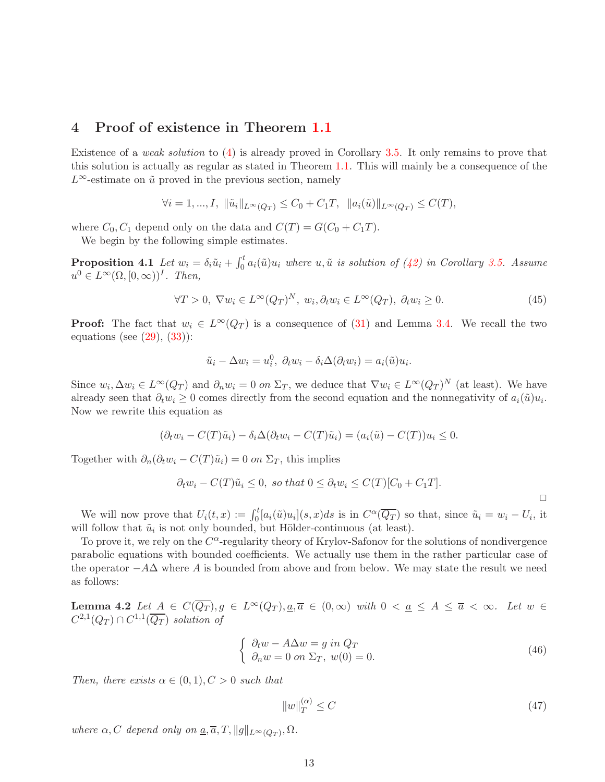#### <span id="page-13-0"></span>4 Proof of existence in Theorem [1.1](#page-3-3)

Existence of a *weak solution* to  $(4)$  is already proved in Corollary [3.5.](#page-12-1) It only remains to prove that this solution is actually as regular as stated in Theorem [1.1.](#page-3-3) This will mainly be a consequence of the  $L^{\infty}$ -estimate on  $\tilde{u}$  proved in the previous section, namely

$$
\forall i = 1, ..., I, \ \|\tilde{u}_i\|_{L^{\infty}(Q_T)} \leq C_0 + C_1T, \ \ \|a_i(\tilde{u})\|_{L^{\infty}(Q_T)} \leq C(T),
$$

where  $C_0$ ,  $C_1$  depend only on the data and  $C(T) = G(C_0 + C_1T)$ .

We begin by the following simple estimates.

**Proposition 4.1** Let  $w_i = \delta_i \tilde{u}_i + \int_0^t a_i(\tilde{u})u_i$  where  $u, \tilde{u}$  is solution of [\(42\)](#page-12-0) in Corollary [3.5.](#page-12-1) Assume  $u^0 \in L^{\infty}(\Omega, [0, \infty))^I$ . Then,

<span id="page-13-3"></span>
$$
\forall T > 0, \ \nabla w_i \in L^{\infty}(Q_T)^N, \ w_i, \partial_t w_i \in L^{\infty}(Q_T), \ \partial_t w_i \ge 0.
$$
\n
$$
(45)
$$

**Proof:** The fact that  $w_i \in L^{\infty}(Q_T)$  is a consequence of [\(31\)](#page-9-5) and Lemma [3.4.](#page-10-0) We recall the two equations (see  $(29)$ ,  $(33)$ ):

$$
\tilde{u}_i - \Delta w_i = u_i^0, \ \partial_t w_i - \delta_i \Delta (\partial_t w_i) = a_i(\tilde{u}) u_i.
$$

Since  $w_i, \Delta w_i \in L^{\infty}(Q_T)$  and  $\partial_n w_i = 0$  on  $\Sigma_T$ , we deduce that  $\nabla w_i \in L^{\infty}(Q_T)^N$  (at least). We have already seen that  $\partial_t w_i \geq 0$  comes directly from the second equation and the nonnegativity of  $a_i(\tilde{u})u_i$ . Now we rewrite this equation as

$$
(\partial_t w_i - C(T)\tilde{u}_i) - \delta_i \Delta(\partial_t w_i - C(T)\tilde{u}_i) = (a_i(\tilde{u}) - C(T))u_i \leq 0.
$$

Together with  $\partial_n(\partial_t w_i - C(T)\tilde{u}_i) = 0$  on  $\Sigma_T$ , this implies

$$
\partial_t w_i - C(T)\tilde{u}_i \leq 0, \text{ so that } 0 \leq \partial_t w_i \leq C(T)[C_0 + C_1T].
$$

We will now prove that  $U_i(t, x) := \int_0^t [a_i(\tilde{u})u_i](s, x)ds$  is in  $C^{\alpha}(\overline{Q_T})$  so that, since  $\tilde{u}_i = w_i - U_i$ , it will follow that  $\tilde{u}_i$  is not only bounded, but Hölder-continuous (at least).

To prove it, we rely on the  $C^{\alpha}$ -regularity theory of Krylov-Safonov for the solutions of nondivergence parabolic equations with bounded coefficients. We actually use them in the rather particular case of the operator  $-A\Delta$  where A is bounded from above and from below. We may state the result we need as follows:

<span id="page-13-2"></span>**Lemma 4.2** Let  $A \in C(\overline{Q_T}), g \in L^{\infty}(Q_T), \underline{a}, \overline{a} \in (0,\infty)$  with  $0 < \underline{a} \leq A \leq \overline{a} < \infty$ . Let  $w \in$  $C^{2,1}(Q_T) \cap C^{1,1}(\overline{Q_T})$  solution of

<span id="page-13-1"></span>
$$
\begin{cases}\n\partial_t w - A\Delta w = g \text{ in } Q_T \\
\partial_n w = 0 \text{ on } \Sigma_T, w(0) = 0.\n\end{cases}
$$
\n(46)

Then, there exists  $\alpha \in (0,1), C > 0$  such that

$$
||w||_T^{(\alpha)} \le C \tag{47}
$$

 $\Box$ 

where  $\alpha$ , C depend only on  $\underline{a}, \overline{a}, T, ||g||_{L^{\infty}(Q_T)}, \Omega$ .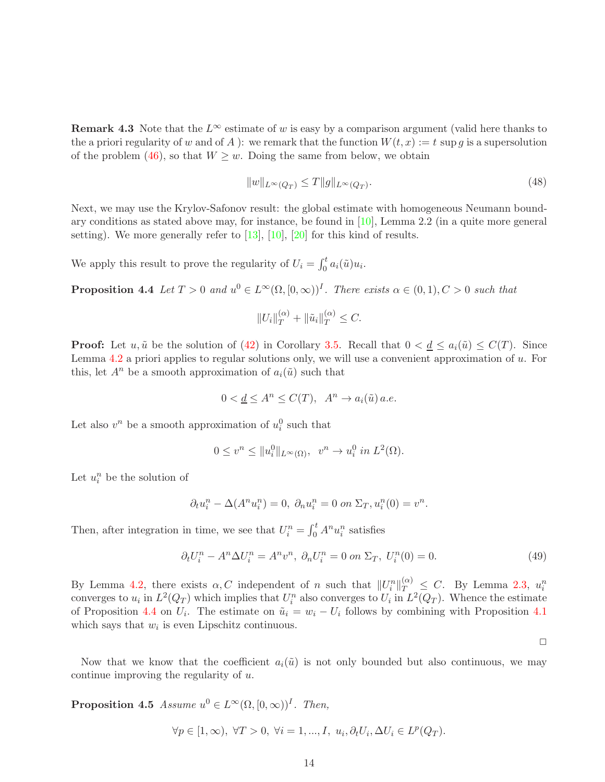**Remark 4.3** Note that the  $L^{\infty}$  estimate of w is easy by a comparison argument (valid here thanks to the a priori regularity of w and of A ): we remark that the function  $W(t, x) := t \sup q$  is a supersolution of the problem [\(46\)](#page-13-1), so that  $W \geq w$ . Doing the same from below, we obtain

$$
||w||_{L^{\infty}(Q_T)} \le T ||g||_{L^{\infty}(Q_T)}.
$$
\n(48)

Next, we may use the Krylov-Safonov result: the global estimate with homogeneous Neumann boundary conditions as stated above may, for instance, be found in [\[10\]](#page-20-12), Lemma 2.2 (in a quite more general setting). We more generally refer to  $[13]$ ,  $[10]$ ,  $[20]$  for this kind of results.

We apply this result to prove the regularity of  $U_i = \int_0^t a_i(\tilde{u})u_i$ .

**Proposition 4.4** Let  $T > 0$  and  $u^0 \in L^{\infty}(\Omega, [0, \infty))^I$ . There exists  $\alpha \in (0, 1), C > 0$  such that

<span id="page-14-0"></span>
$$
||U_i||_T^{(\alpha)} + ||\tilde{u}_i||_T^{(\alpha)} \leq C.
$$

**Proof:** Let u,  $\tilde{u}$  be the solution of [\(42\)](#page-12-0) in Corollary [3.5.](#page-12-1) Recall that  $0 < \underline{d} \le a_i(\tilde{u}) \le C(T)$ . Since Lemma [4.2](#page-13-2) a priori applies to regular solutions only, we will use a convenient approximation of  $u$ . For this, let  $A^n$  be a smooth approximation of  $a_i(\tilde{u})$  such that

$$
0 < \underline{d} \le A^n \le C(T), \ \ A^n \to a_i(\tilde{u}) \, a.e.
$$

Let also  $v^n$  be a smooth approximation of  $u_i^0$  such that

$$
0 \le v^n \le ||u_i^0||_{L^{\infty}(\Omega)}, \quad v^n \to u_i^0 \text{ in } L^2(\Omega).
$$

Let  $u_i^n$  be the solution of

$$
\partial_t u_i^n - \Delta(A^n u_i^n) = 0, \ \partial_n u_i^n = 0 \text{ on } \Sigma_T, u_i^n(0) = v^n.
$$

Then, after integration in time, we see that  $U_i^n = \int_0^t A^n u_i^n$  satisfies

$$
\partial_t U_i^n - A^n \Delta U_i^n = A^n v^n, \ \partial_n U_i^n = 0 \text{ on } \Sigma_T, \ U_i^n(0) = 0. \tag{49}
$$

By Lemma [4.2,](#page-13-2) there exists  $\alpha$ , C independent of n such that  $||U_i^n||_{T}^{(\alpha)} \leq C$ . By Lemma [2.3,](#page-4-1)  $u_i^n$ converges to  $u_i$  in  $L^2(Q_T)$  which implies that  $U_i^n$  also converges to  $U_i$  in  $L^2(Q_T)$ . Whence the estimate of Proposition [4.4](#page-14-0) on  $U_i$ . The estimate on  $\tilde{u}_i = w_i - U_i$  follows by combining with Proposition [4.1](#page-13-3) which says that  $w_i$  is even Lipschitz continuous.

 $\Box$ 

<span id="page-14-1"></span>Now that we know that the coefficient  $a_i(\tilde{u})$  is not only bounded but also continuous, we may continue improving the regularity of u.

**Proposition 4.5** Assume  $u^0 \in L^{\infty}(\Omega, [0, \infty))^I$ . Then,

$$
\forall p \in [1, \infty), \ \forall T > 0, \ \forall i = 1, ..., I, \ u_i, \partial_t U_i, \Delta U_i \in L^p(Q_T).
$$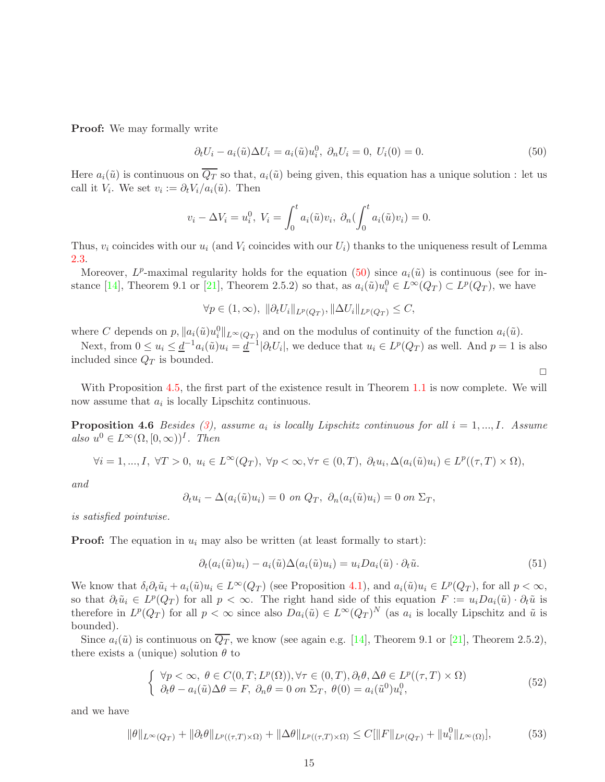**Proof:** We may formally write

<span id="page-15-0"></span>
$$
\partial_t U_i - a_i(\tilde{u}) \Delta U_i = a_i(\tilde{u}) u_i^0, \ \partial_n U_i = 0, \ U_i(0) = 0. \tag{50}
$$

Here  $a_i(\tilde{u})$  is continuous on  $\overline{Q_T}$  so that,  $a_i(\tilde{u})$  being given, this equation has a unique solution : let us call it  $V_i$ . We set  $v_i := \partial_t V_i / a_i(\tilde{u})$ . Then

$$
v_i - \Delta V_i = u_i^0, \ V_i = \int_0^t a_i(\tilde{u}) v_i, \ \partial_n(\int_0^t a_i(\tilde{u}) v_i) = 0.
$$

Thus,  $v_i$  coincides with our  $u_i$  (and  $V_i$  coincides with our  $U_i$ ) thanks to the uniqueness result of Lemma [2.3.](#page-4-1)

Moreover,  $L^p$ -maximal regularity holds for the equation [\(50\)](#page-15-0) since  $a_i(\tilde{u})$  is continuous (see for in-stance [\[14\]](#page-20-14), Theorem 9.1 or [\[21\]](#page-21-11), Theorem 2.5.2) so that, as  $a_i(\tilde{u})u_i^0 \in L^{\infty}(Q_T) \subset L^p(Q_T)$ , we have

$$
\forall p \in (1, \infty), \ \|\partial_t U_i\|_{L^p(Q_T)}, \|\Delta U_i\|_{L^p(Q_T)} \leq C,
$$

where C depends on  $p$ ,  $\|a_i(\tilde{u})u_i^0\|_{L^{\infty}(Q_T)}$  and on the modulus of continuity of the function  $a_i(\tilde{u})$ .

Next, from  $0 \le u_i \le \underline{d}^{-1} a_i(\tilde{u}) u_i = \underline{d}^{-1} |\partial_t U_i|$ , we deduce that  $u_i \in L^p(Q_T)$  as well. And  $p = 1$  is also included since  $Q_T$  is bounded.

 $\Box$ 

<span id="page-15-1"></span>With Proposition [4.5,](#page-14-1) the first part of the existence result in Theorem [1.1](#page-3-3) is now complete. We will now assume that  $a_i$  is locally Lipschitz continuous.

**Proposition 4.6** Besides  $(3)$ , assume  $a_i$  is locally Lipschitz continuous for all  $i = 1, ..., I$ . Assume also  $u^0 \in L^{\infty}(\Omega, [0, \infty))^I$ . Then

$$
\forall i=1,...,I, \ \forall T>0, \ u_i \in L^{\infty}(Q_T), \ \forall p<\infty, \forall \tau \in (0,T), \ \partial_t u_i, \Delta(a_i(\tilde{u})u_i) \in L^p((\tau,T)\times\Omega),
$$

and

$$
\partial_t u_i - \Delta(a_i(\tilde{u})u_i) = 0 \text{ on } Q_T, \ \partial_n(a_i(\tilde{u})u_i) = 0 \text{ on } \Sigma_T,
$$

is satisfied pointwise.

**Proof:** The equation in  $u_i$  may also be written (at least formally to start):

$$
\partial_t (a_i(\tilde{u})u_i) - a_i(\tilde{u})\Delta(a_i(\tilde{u})u_i) = u_i Da_i(\tilde{u}) \cdot \partial_t \tilde{u}.
$$
\n(51)

We know that  $\delta_i \partial_t \tilde{u}_i + a_i(\tilde{u})u_i \in L^{\infty}(Q_T)$  (see Proposition [4.1\)](#page-13-3), and  $a_i(\tilde{u})u_i \in L^p(Q_T)$ , for all  $p < \infty$ , so that  $\partial_t \tilde{u}_i \in L^p(Q_T)$  for all  $p < \infty$ . The right hand side of this equation  $F := u_i Da_i(\tilde{u}) \cdot \partial_t \tilde{u}$  is therefore in  $L^p(Q_T)$  for all  $p < \infty$  since also  $Da_i(\tilde{u}) \in L^{\infty}(Q_T)^N$  (as  $a_i$  is locally Lipschitz and  $\tilde{u}$  is bounded).

Since  $a_i(\tilde{u})$  is continuous on  $\overline{Q_T}$ , we know (see again e.g. [\[14\]](#page-20-14), Theorem 9.1 or [\[21\]](#page-21-11), Theorem 2.5.2), there exists a (unique) solution  $\theta$  to

<span id="page-15-3"></span>
$$
\begin{cases}\n\forall p < \infty, \ \theta \in C(0, T; L^p(\Omega)), \forall \tau \in (0, T), \partial_t \theta, \Delta \theta \in L^p((\tau, T) \times \Omega) \\
\partial_t \theta - a_i(\tilde{u})\Delta \theta = F, \ \partial_n \theta = 0 \text{ on } \Sigma_T, \ \theta(0) = a_i(\tilde{u}^0)u_i^0,\n\end{cases}
$$
\n(52)

and we have

<span id="page-15-2"></span>
$$
\|\theta\|_{L^{\infty}(Q_T)} + \|\partial_t \theta\|_{L^p((\tau, T) \times \Omega)} + \|\Delta \theta\|_{L^p((\tau, T) \times \Omega)} \le C[\|F\|_{L^p(Q_T)} + \|u_i^0\|_{L^{\infty}(\Omega)}],
$$
(53)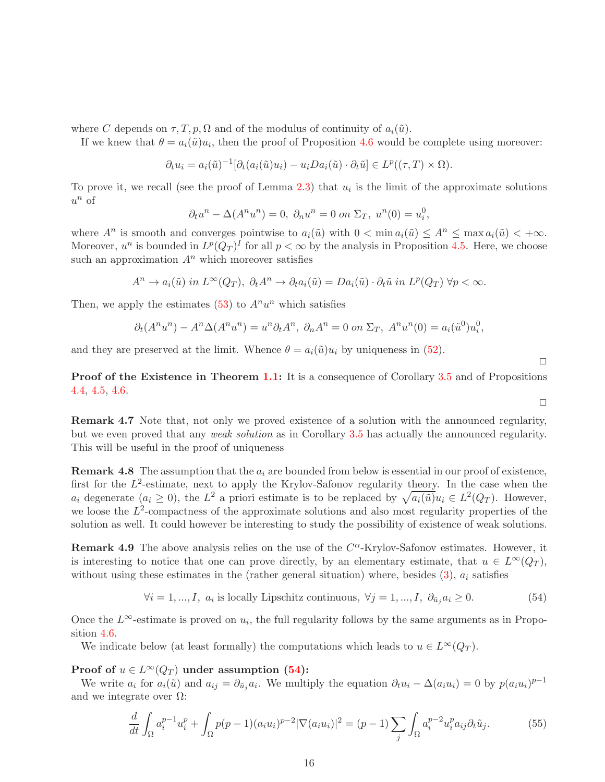where C depends on  $\tau, T, p, \Omega$  and of the modulus of continuity of  $a_i(\tilde{u})$ .

If we knew that  $\theta = a_i(\tilde{u})u_i$ , then the proof of Proposition [4.6](#page-15-1) would be complete using moreover:

$$
\partial_t u_i = a_i(\tilde{u})^{-1} [\partial_t (a_i(\tilde{u})u_i) - u_i D a_i(\tilde{u}) \cdot \partial_t \tilde{u}] \in L^p((\tau, T) \times \Omega).
$$

To prove it, we recall (see the proof of Lemma [2.3\)](#page-4-1) that  $u_i$  is the limit of the approximate solutions  $u^n$  of

$$
\partial_t u^n - \Delta(A^n u^n) = 0, \ \partial_n u^n = 0 \text{ on } \Sigma_T, \ u^n(0) = u_i^0,
$$

where  $A^n$  is smooth and converges pointwise to  $a_i(\tilde{u})$  with  $0 < \min a_i(\tilde{u}) \le A^n \le \max a_i(\tilde{u}) < +\infty$ . Moreover,  $u^n$  is bounded in  $L^p(Q_T)^I$  for all  $p < \infty$  by the analysis in Proposition [4.5.](#page-14-1) Here, we choose such an approximation  $A<sup>n</sup>$  which moreover satisfies

$$
A^{n} \to a_{i}(\tilde{u}) \text{ in } L^{\infty}(Q_{T}), \ \partial_{t} A^{n} \to \partial_{t} a_{i}(\tilde{u}) = Da_{i}(\tilde{u}) \cdot \partial_{t} \tilde{u} \text{ in } L^{p}(Q_{T}) \ \forall p < \infty.
$$

Then, we apply the estimates  $(53)$  to  $A<sup>n</sup>u<sup>n</sup>$  which satisfies

$$
\partial_t(A^n u^n) - A^n \Delta(A^n u^n) = u^n \partial_t A^n, \ \partial_n A^n = 0 \text{ on } \Sigma_T, \ A^n u^n(0) = a_i(\tilde{u}^0) u_i^0,
$$

and they are preserved at the limit. Whence  $\theta = a_i(\tilde{u})u_i$  by uniqueness in [\(52\)](#page-15-3).

**Proof of the Existence in Theorem [1.1:](#page-3-3)** It is a consequence of Corollary [3.5](#page-12-1) and of Propositions [4.4,](#page-14-0) [4.5,](#page-14-1) [4.6.](#page-15-1)

<span id="page-16-2"></span>Remark 4.7 Note that, not only we proved existence of a solution with the announced regularity, but we even proved that any weak solution as in Corollary [3.5](#page-12-1) has actually the announced regularity. This will be useful in the proof of uniqueness

**Remark 4.8** The assumption that the  $a_i$  are bounded from below is essential in our proof of existence, first for the  $L^2$ -estimate, next to apply the Krylov-Safonov regularity theory. In the case when the  $a_i$  degenerate  $(a_i \geq 0)$ , the  $L^2$  a priori estimate is to be replaced by  $\sqrt{a_i(\tilde{u})}u_i \in L^2(Q_T)$ . However, we loose the  $L^2$ -compactness of the approximate solutions and also most regularity properties of the solution as well. It could however be interesting to study the possibility of existence of weak solutions.

**Remark 4.9** The above analysis relies on the use of the  $C^{\alpha}$ -Krylov-Safonov estimates. However, it is interesting to notice that one can prove directly, by an elementary estimate, that  $u \in L^{\infty}(Q_T)$ , without using these estimates in the (rather general situation) where, besides  $(3)$ ,  $a_i$  satisfies

<span id="page-16-0"></span>
$$
\forall i = 1, ..., I, \ a_i \text{ is locally Lipschitz continuous, } \forall j = 1, ..., I, \ \partial_{\tilde{u}_j} a_i \ge 0. \tag{54}
$$

Once the  $L^{\infty}$ -estimate is proved on  $u_i$ , the full regularity follows by the same arguments as in Proposition [4.6.](#page-15-1)

We indicate below (at least formally) the computations which leads to  $u \in L^{\infty}(Q_T)$ .

Proof of  $u \in L^{\infty}(Q_T)$  under assumption [\(54\)](#page-16-0):

We write  $a_i$  for  $a_i(\tilde{u})$  and  $a_{ij} = \partial_{\tilde{u}_j} a_i$ . We multiply the equation  $\partial_t u_i - \Delta(a_i u_i) = 0$  by  $p(a_i u_i)^{p-1}$ and we integrate over  $\Omega$ :

<span id="page-16-1"></span>
$$
\frac{d}{dt} \int_{\Omega} a_i^{p-1} u_i^p + \int_{\Omega} p(p-1) (a_i u_i)^{p-2} |\nabla (a_i u_i)|^2 = (p-1) \sum_j \int_{\Omega} a_i^{p-2} u_i^p a_{ij} \partial_t \tilde{u}_j. \tag{55}
$$

 $\Box$ 

 $\Box$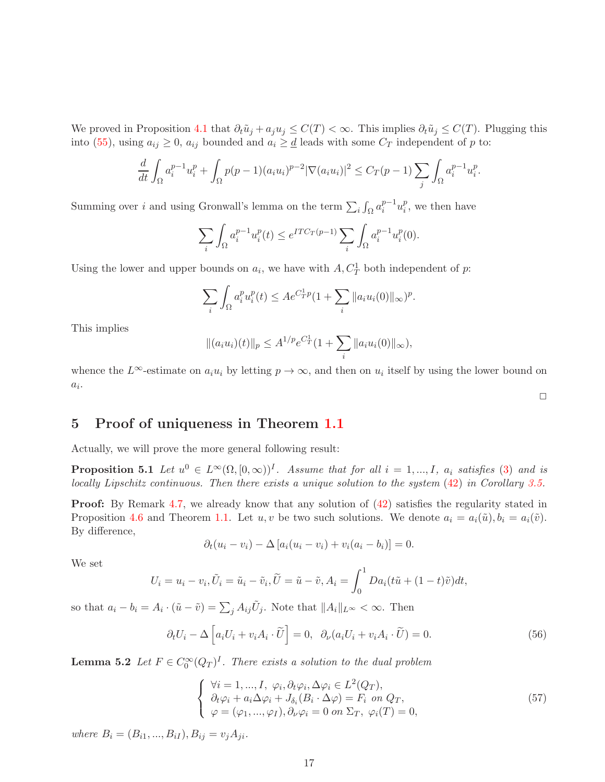We proved in Proposition [4.1](#page-13-3) that  $\partial_t \tilde{u}_j + a_j u_j \leq C(T) < \infty$ . This implies  $\partial_t \tilde{u}_j \leq C(T)$ . Plugging this into [\(55\)](#page-16-1), using  $a_{ij} \geq 0$ ,  $a_{ij}$  bounded and  $a_i \geq \underline{d}$  leads with some  $C_T$  independent of p to:

$$
\frac{d}{dt} \int_{\Omega} a_i^{p-1} u_i^p + \int_{\Omega} p(p-1)(a_i u_i)^{p-2} |\nabla(a_i u_i)|^2 \le C_T (p-1) \sum_j \int_{\Omega} a_i^{p-1} u_i^p.
$$

Summing over *i* and using Gronwall's lemma on the term  $\sum_i \int_{\Omega} a_i^{p-1}$  $i^{p-1}u_i^p$  $i<sub>i</sub>$ , we then have

$$
\sum_{i} \int_{\Omega} a_i^{p-1} u_i^p(t) \le e^{ITC_T(p-1)} \sum_{i} \int_{\Omega} a_i^{p-1} u_i^p(0).
$$

Using the lower and upper bounds on  $a_i$ , we have with  $A, C_T^1$  both independent of  $p$ :

$$
\sum_{i} \int_{\Omega} a_i^p u_i^p(t) \le A e^{C_T^1 p} \left( 1 + \sum_i \|a_i u_i(0)\|_{\infty} \right)^p.
$$

This implies

$$
||(a_iu_i)(t)||_p \le A^{1/p}e^{C_T^1}(1+\sum_i ||a_iu_i(0)||_{\infty}),
$$

whence the  $L^{\infty}$ -estimate on  $a_i u_i$  by letting  $p \to \infty$ , and then on  $u_i$  itself by using the lower bound on  $a_i$ .

### <span id="page-17-0"></span>5 Proof of uniqueness in Theorem [1.1](#page-3-3)

Actually, we will prove the more general following result:

**Proposition 5.1** Let  $u^0 \in L^{\infty}(\Omega, [0, \infty))^I$ . Assume that for all  $i = 1, ..., I$ ,  $a_i$  satisfies [\(3\)](#page-3-0) and is locally Lipschitz continuous. Then there exists a unique solution to the system  $(42)$  in Corollary [3.5.](#page-12-1)

Proof: By Remark [4.7,](#page-16-2) we already know that any solution of [\(42\)](#page-12-0) satisfies the regularity stated in Proposition [4.6](#page-15-1) and Theorem [1.1.](#page-3-3) Let u, v be two such solutions. We denote  $a_i = a_i(\tilde{u}), b_i = a_i(\tilde{v})$ . By difference,

$$
\partial_t (u_i - v_i) - \Delta [a_i(u_i - v_i) + v_i(a_i - b_i)] = 0.
$$

We set

$$
U_i = u_i - v_i, \tilde{U}_i = \tilde{u}_i - \tilde{v}_i, \tilde{U} = \tilde{u} - \tilde{v}, A_i = \int_0^1 Da_i(t\tilde{u} + (1-t)\tilde{v})dt,
$$

so that  $a_i - b_i = A_i \cdot (\tilde{u} - \tilde{v}) = \sum_j A_{ij} \tilde{U}_j$ . Note that  $||A_i||_{L^{\infty}} < \infty$ . Then

<span id="page-17-1"></span>
$$
\partial_t U_i - \Delta \left[ a_i U_i + v_i A_i \cdot \widetilde{U} \right] = 0, \ \ \partial_\nu (a_i U_i + v_i A_i \cdot \widetilde{U}) = 0. \tag{56}
$$

<span id="page-17-2"></span>**Lemma 5.2** Let  $F \in C_0^{\infty}(Q_T)^I$ . There exists a solution to the dual problem

<span id="page-17-3"></span>
$$
\begin{cases}\n\forall i = 1, ..., I, \varphi_i, \partial_t \varphi_i, \Delta \varphi_i \in L^2(Q_T), \\
\partial_t \varphi_i + a_i \Delta \varphi_i + J_{\delta_i}(B_i \cdot \Delta \varphi) = F_i \text{ on } Q_T, \\
\varphi = (\varphi_1, ..., \varphi_I), \partial_\nu \varphi_i = 0 \text{ on } \Sigma_T, \varphi_i(T) = 0,\n\end{cases}
$$
\n(57)

where  $B_i = (B_{i1},...,B_{iI}), B_{ij} = v_j A_{ji}.$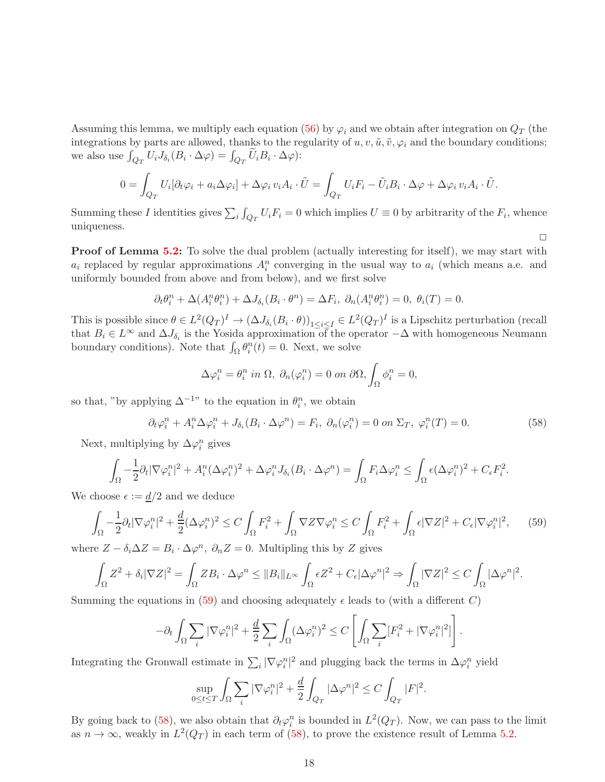Assuming this lemma, we multiply each equation [\(56\)](#page-17-1) by  $\varphi_i$  and we obtain after integration on  $Q_T$  (the integrations by parts are allowed, thanks to the regularity of  $u, v, \tilde{u}, \tilde{v}, \varphi_i$  and the boundary conditions; we also use  $\int_{Q_T} U_i J_{\delta_i}(B_i \cdot \Delta \varphi) = \int_{Q_T} \widetilde{U}_i B_i \cdot \Delta \varphi$ :

$$
0 = \int_{Q_T} U_i[\partial_t \varphi_i + a_i \Delta \varphi_i] + \Delta \varphi_i v_i A_i \cdot \tilde{U} = \int_{Q_T} U_i F_i - \tilde{U}_i B_i \cdot \Delta \varphi + \Delta \varphi_i v_i A_i \cdot \tilde{U}.
$$

Summing these I identities gives  $\sum_i \int_{Q_T} U_i F_i = 0$  which implies  $U \equiv 0$  by arbitrarity of the  $F_i$ , whence uniqueness.

**Proof of Lemma [5.2:](#page-17-2)** To solve the dual problem (actually interesting for itself), we may start with  $a_i$  replaced by regular approximations  $A_i^n$  converging in the usual way to  $a_i$  (which means a.e. and uniformly bounded from above and from below), and we first solve

$$
\partial_t \theta_i^n + \Delta(A_i^n \theta_i^n) + \Delta J_{\delta_i}(B_i \cdot \theta^n) = \Delta F_i, \ \partial_n(A_i^n \theta_i^n) = 0, \ \theta_i(T) = 0.
$$

This is possible since  $\theta \in L^2(Q_T)^I \to (\Delta J_{\delta_i}(B_i \cdot \theta))_{1 \leq i \leq I} \in L^2(Q_T)^I$  is a Lipschitz perturbation (recall that  $B_i \in L^{\infty}$  and  $\Delta J_{\delta_i}$  is the Yosida approximation of the operator  $-\Delta$  with homogeneous Neumann boundary conditions). Note that  $\int_{\Omega} \theta_i^n(t) = 0$ . Next, we solve

$$
\Delta \varphi_i^n = \theta_i^n \text{ in } \Omega, \ \partial_n(\varphi_i^n) = 0 \text{ on } \partial \Omega, \int_{\Omega} \phi_i^n = 0,
$$

so that, "by applying  $\Delta^{-1}$ " to the equation in  $\theta_i^n$ , we obtain

<span id="page-18-1"></span>
$$
\partial_t \varphi_i^n + A_i^n \Delta \varphi_i^n + J_{\delta_i} (B_i \cdot \Delta \varphi^n) = F_i, \ \partial_n (\varphi_i^n) = 0 \text{ on } \Sigma_T, \ \varphi_i^n(T) = 0. \tag{58}
$$

 $\Box$ 

Next, multiplying by  $\Delta \varphi_i^n$  gives

$$
\int_{\Omega} -\frac{1}{2}\partial_t |\nabla \varphi_i^n|^2 + A_i^n (\Delta \varphi_i^n)^2 + \Delta \varphi_i^n J_{\delta_i}(B_i \cdot \Delta \varphi^n) = \int_{\Omega} F_i \Delta \varphi_i^n \le \int_{\Omega} \epsilon (\Delta \varphi_i^n)^2 + C_{\epsilon} F_i^2.
$$

We choose  $\epsilon := \frac{d}{2}$  and we deduce

<span id="page-18-0"></span>
$$
\int_{\Omega} -\frac{1}{2}\partial_t |\nabla \varphi_i^n|^2 + \frac{d}{2}(\Delta \varphi_i^n)^2 \le C \int_{\Omega} F_i^2 + \int_{\Omega} \nabla Z \nabla \varphi_i^n \le C \int_{\Omega} F_i^2 + \int_{\Omega} \epsilon |\nabla Z|^2 + C_{\epsilon} |\nabla \varphi_i^n|^2, \tag{59}
$$

where  $Z - \delta_i \Delta Z = B_i \cdot \Delta \varphi^n$ ,  $\partial_n Z = 0$ . Multipling this by Z gives

$$
\int_{\Omega} Z^2 + \delta_i |\nabla Z|^2 = \int_{\Omega} Z B_i \cdot \Delta \varphi^n \leq \|B_i\|_{L^\infty} \int_{\Omega} \epsilon Z^2 + C_{\epsilon} |\Delta \varphi^n|^2 \Rightarrow \int_{\Omega} |\nabla Z|^2 \leq C \int_{\Omega} |\Delta \varphi^n|^2.
$$

Summing the equations in [\(59\)](#page-18-0) and choosing adequately  $\epsilon$  leads to (with a different C)

$$
-\partial_t \int_\Omega \sum_i |\nabla \varphi_i^n|^2 + \frac{d}{2} \sum_i \int_\Omega (\Delta \varphi_i^n)^2 \leq C \left[ \int_\Omega \sum_i [F_i^2 + |\nabla \varphi_i^n|^2] \right].
$$

Integrating the Gronwall estimate in  $\sum_i |\nabla \varphi_i^n|^2$  and plugging back the terms in  $\Delta \varphi_i^n$  yield

$$
\sup_{0 \le t \le T} \int_{\Omega} \sum_{i} |\nabla \varphi_i^n|^2 + \frac{d}{2} \int_{Q_T} |\Delta \varphi^n|^2 \le C \int_{Q_T} |F|^2.
$$

By going back to [\(58\)](#page-18-1), we also obtain that  $\partial_t \varphi_i^n$  is bounded in  $L^2(Q_T)$ . Now, we can pass to the limit as  $n \to \infty$ , weakly in  $L^2(Q_T)$  in each term of [\(58\)](#page-18-1), to prove the existence result of Lemma [5.2.](#page-17-2)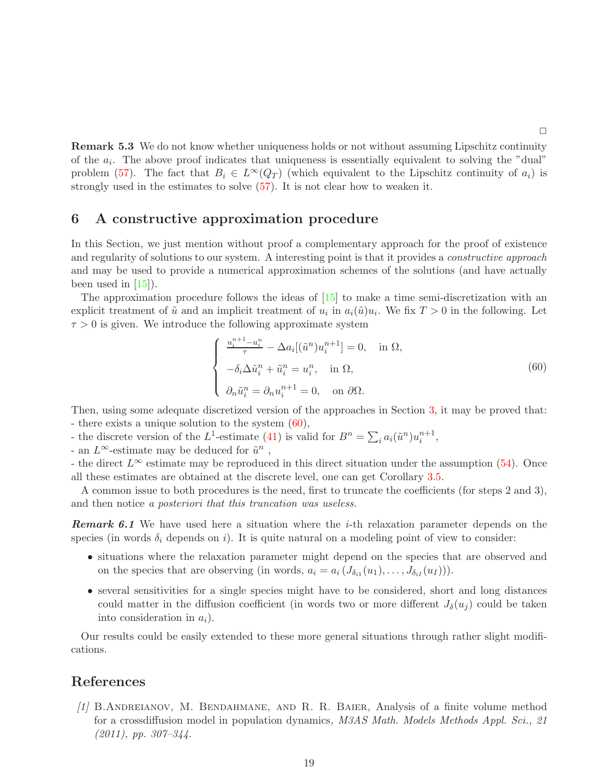Remark 5.3 We do not know whether uniqueness holds or not without assuming Lipschitz continuity of the  $a_i$ . The above proof indicates that uniqueness is essentially equivalent to solving the "dual" problem [\(57\)](#page-17-3). The fact that  $B_i \in L^{\infty}(Q_T)$  (which equivalent to the Lipschitz continuity of  $a_i$ ) is strongly used in the estimates to solve [\(57\)](#page-17-3). It is not clear how to weaken it.

### <span id="page-19-1"></span>6 A constructive approximation procedure

In this Section, we just mention without proof a complementary approach for the proof of existence and regularity of solutions to our system. A interesting point is that it provides a *constructive approach* and may be used to provide a numerical approximation schemes of the solutions (and have actually been used in  $[15]$ .

The approximation procedure follows the ideas of [\[15\]](#page-20-6) to make a time semi-discretization with an explicit treatment of  $\tilde{u}$  and an implicit treatment of  $u_i$  in  $a_i(\tilde{u})u_i$ . We fix  $T > 0$  in the following. Let  $\tau > 0$  is given. We introduce the following approximate system

<span id="page-19-2"></span>
$$
\begin{cases}\n\frac{u_i^{n+1} - u_i^n}{\tau} - \Delta a_i [(\tilde{u}^n) u_i^{n+1}] = 0, & \text{in } \Omega, \\
-\delta_i \Delta \tilde{u}_i^n + \tilde{u}_i^n = u_i^n, & \text{in } \Omega, \\
\partial_n \tilde{u}_i^n = \partial_n u_i^{n+1} = 0, & \text{on } \partial \Omega.\n\end{cases}
$$
\n(60)

Then, using some adequate discretized version of the approaches in Section [3,](#page-8-0) it may be proved that: - there exists a unique solution to the system  $(60)$ ,

- the discrete version of the L<sup>1</sup>-estimate [\(41\)](#page-11-2) is valid for  $B^n = \sum_i a_i(\tilde{u}^n) u_i^{n+1}$ ,

- an  $L^{\infty}$ -estimate may be deduced for  $\tilde{u}^n$ ,

- the direct  $L^{\infty}$  estimate may be reproduced in this direct situation under the assumption [\(54\)](#page-16-0). Once all these estimates are obtained at the discrete level, one can get Corollary [3.5.](#page-12-1)

A common issue to both procedures is the need, first to truncate the coefficients (for steps 2 and 3), and then notice a posteriori that this truncation was useless.

**Remark 6.1** We have used here a situation where the *i*-th relaxation parameter depends on the species (in words  $\delta_i$  depends on i). It is quite natural on a modeling point of view to consider:

- situations where the relaxation parameter might depend on the species that are observed and on the species that are observing (in words,  $a_i = a_i (J_{\delta_{i1}}(u_1), \ldots, J_{\delta_{iI}}(u_I))).$
- several sensitivities for a single species might have to be considered, short and long distances could matter in the diffusion coefficient (in words two or more different  $J_{\delta}(u_i)$  could be taken into consideration in  $a_i$ ).

Our results could be easily extended to these more general situations through rather slight modifications.

### <span id="page-19-0"></span>References

[1] B.Andreianov, M. Bendahmane, and R. R. Baier, Analysis of a finite volume method for a crossdiffusion model in population dynamics, M3AS Math. Models Methods Appl. Sci., 21  $(2011)$ , pp.  $307-344$ .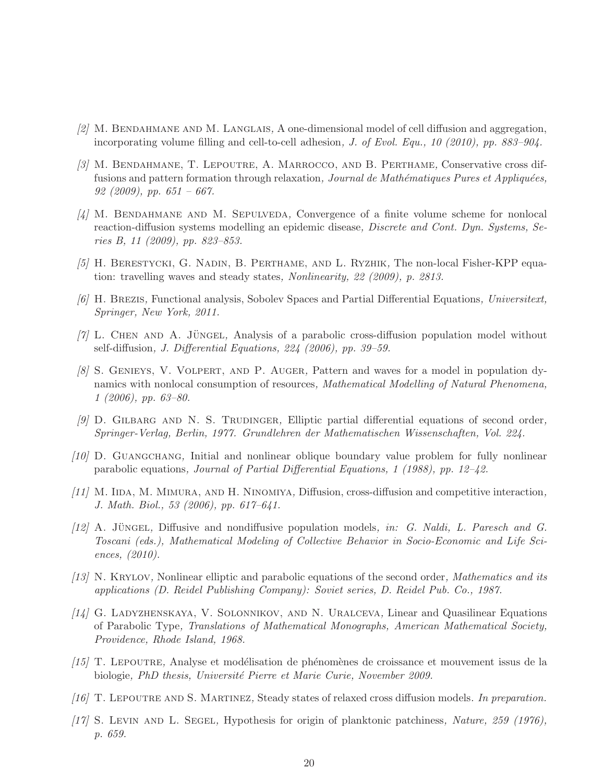- <span id="page-20-1"></span> $[2]$  M. BENDAHMANE AND M. LANGLAIS, A one-dimensional model of cell diffusion and aggregation, incorporating volume filling and cell-to-cell adhesion, J. of Evol. Equ., 10 (2010), pp. 883–904.
- <span id="page-20-5"></span>[3] M. Bendahmane, T. Lepoutre, A. Marrocco, and B. Perthame, Conservative cross diffusions and pattern formation through relaxation, Journal de Mathématiques Pures et Appliquées, 92 (2009), pp.  $651 - 667$ .
- <span id="page-20-8"></span> $\frac{1}{4}$  M. BENDAHMANE AND M. SEPULVEDA, Convergence of a finite volume scheme for nonlocal reaction-diffusion systems modelling an epidemic disease, *Discrete and Cont. Dyn. Systems*, Series B, 11 (2009), pp. 823–853.
- <span id="page-20-15"></span><span id="page-20-9"></span>[5] H. Berestycki, G. Nadin, B. Perthame, and L. Ryzhik, The non-local Fisher-KPP equation: travelling waves and steady states, Nonlinearity, 22 (2009), p. 2813.
- <span id="page-20-3"></span>[6] H. Brezis, Functional analysis, Sobolev Spaces and Partial Differential Equations, Universitext, Springer, New York, 2011.
- <span id="page-20-10"></span> $[7]$  L. CHEN AND A. JÜNGEL, Analysis of a parabolic cross-diffusion population model without self-diffusion, J. Differential Equations, 224 (2006), pp. 39–59.
- [8] S. Genieys, V. Volpert, and P. Auger, Pattern and waves for a model in population dynamics with nonlocal consumption of resources, Mathematical Modelling of Natural Phenomena, 1 (2006), pp. 63–80.
- <span id="page-20-13"></span><span id="page-20-12"></span> $[9]$  D. GILBARG AND N. S. TRUDINGER, Elliptic partial differential equations of second order, Springer-Verlag, Berlin, 1977. Grundlehren der Mathematischen Wissenschaften, Vol. 224.
- <span id="page-20-4"></span>[10] D. Guangchang, Initial and nonlinear oblique boundary value problem for fully nonlinear parabolic equations, Journal of Partial Differential Equations, 1 (1988), pp. 12–42.
- $[11]$  M. IIDA, M. MIMURA, AND H. NINOMIYA, Diffusion, cross-diffusion and competitive interaction, J. Math. Biol., 53 (2006), pp. 617–641.
- <span id="page-20-2"></span> $[12]$  A. Jüngel, Diffusive and nondiffusive population models, in: G. Naldi, L. Paresch and G. Toscani (eds.), Mathematical Modeling of Collective Behavior in Socio-Economic and Life Sciences, (2010).
- <span id="page-20-11"></span>[13] N. Krylov, Nonlinear elliptic and parabolic equations of the second order, Mathematics and its applications (D. Reidel Publishing Company): Soviet series, D. Reidel Pub. Co., 1987.
- <span id="page-20-14"></span> $[14]$  G. LADYZHENSKAYA, V. SOLONNIKOV, AND N. URALCEVA, Linear and Quasilinear Equations of Parabolic Type, Translations of Mathematical Monographs, American Mathematical Society, Providence, Rhode Island, 1968.
- <span id="page-20-6"></span> $(15)$  T. LEPOUTRE, Analyse et modélisation de phénomènes de croissance et mouvement issus de la biologie, PhD thesis, Université Pierre et Marie Curie, November 2009.
- <span id="page-20-7"></span><span id="page-20-0"></span>[16] T. Lepoutre and S. Martinez, Steady states of relaxed cross diffusion models. In preparation.
- [17] S. LEVIN AND L. SEGEL, Hypothesis for origin of planktonic patchiness, Nature, 259 (1976), p. 659.